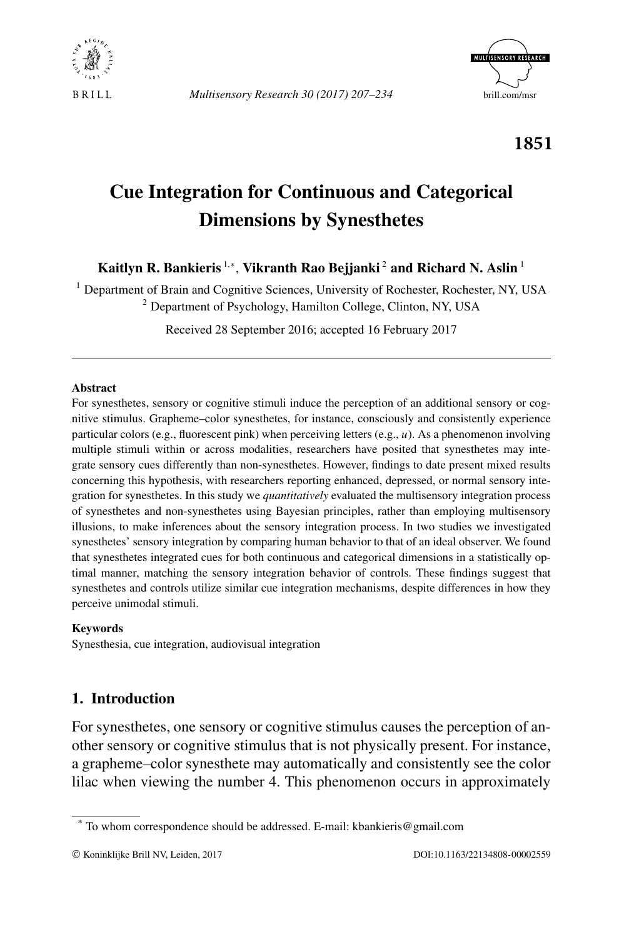

*Multisensory Research 30 (2017) 207–234* [brill.com/msr](http://www.brill.com/publications/journals/multisensory-research)



**1851**

# **Cue Integration for Continuous and Categorical Dimensions by Synesthetes**

**Kaitlyn R. Bankieris** <sup>1</sup>*,*<sup>∗</sup> , **Vikranth Rao Bejjanki** <sup>2</sup> **and Richard N. Aslin** <sup>1</sup>

<sup>1</sup> Department of Brain and Cognitive Sciences, University of Rochester, Rochester, NY, USA  $2$  Department of Psychology, Hamilton College, Clinton, NY, USA

Received 28 September 2016; accepted 16 February 2017

#### **Abstract**

For synesthetes, sensory or cognitive stimuli induce the perception of an additional sensory or cognitive stimulus. Grapheme–color synesthetes, for instance, consciously and consistently experience particular colors (e.g., fluorescent pink) when perceiving letters (e.g., *u*). As a phenomenon involving multiple stimuli within or across modalities, researchers have posited that synesthetes may integrate sensory cues differently than non-synesthetes. However, findings to date present mixed results concerning this hypothesis, with researchers reporting enhanced, depressed, or normal sensory integration for synesthetes. In this study we *quantitatively* evaluated the multisensory integration process of synesthetes and non-synesthetes using Bayesian principles, rather than employing multisensory illusions, to make inferences about the sensory integration process. In two studies we investigated synesthetes' sensory integration by comparing human behavior to that of an ideal observer. We found that synesthetes integrated cues for both continuous and categorical dimensions in a statistically optimal manner, matching the sensory integration behavior of controls. These findings suggest that synesthetes and controls utilize similar cue integration mechanisms, despite differences in how they perceive unimodal stimuli.

#### **Keywords**

Synesthesia, cue integration, audiovisual integration

# **1. Introduction**

For synesthetes, one sensory or cognitive stimulus causes the perception of another sensory or cognitive stimulus that is not physically present. For instance, a grapheme–color synesthete may automatically and consistently see the color lilac when viewing the number 4. This phenomenon occurs in approximately

<sup>\*</sup> To whom correspondence should be addressed. E-mail: [kbankieris@gmail.com](mailto:kbankieris@gmail.com)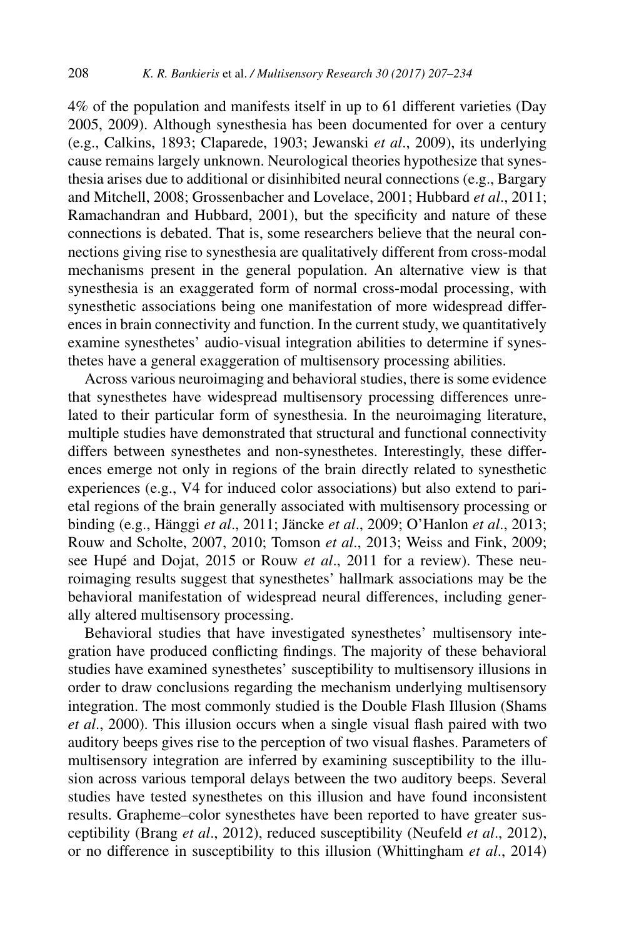4% of the population and manifests itself in up to 61 different varieties (Day 2005, 2009). Although synesthesia has been documented for over a century (e.g., Calkins, 1893; Claparede, 1903; Jewanski *et al*., 2009), its underlying cause remains largely unknown. Neurological theories hypothesize that synesthesia arises due to additional or disinhibited neural connections (e.g., Bargary and Mitchell, 2008; Grossenbacher and Lovelace, 2001; Hubbard *et al*., 2011; Ramachandran and Hubbard, 2001), but the specificity and nature of these connections is debated. That is, some researchers believe that the neural connections giving rise to synesthesia are qualitatively different from cross-modal mechanisms present in the general population. An alternative view is that synesthesia is an exaggerated form of normal cross-modal processing, with synesthetic associations being one manifestation of more widespread differences in brain connectivity and function. In the current study, we quantitatively examine synesthetes' audio-visual integration abilities to determine if synesthetes have a general exaggeration of multisensory processing abilities.

Across various neuroimaging and behavioral studies, there is some evidence that synesthetes have widespread multisensory processing differences unrelated to their particular form of synesthesia. In the neuroimaging literature, multiple studies have demonstrated that structural and functional connectivity differs between synesthetes and non-synesthetes. Interestingly, these differences emerge not only in regions of the brain directly related to synesthetic experiences (e.g., V4 for induced color associations) but also extend to parietal regions of the brain generally associated with multisensory processing or binding (e.g., Hänggi *et al*., 2011; Jäncke *et al*., 2009; O'Hanlon *et al*., 2013; Rouw and Scholte, 2007, 2010; Tomson *et al*., 2013; Weiss and Fink, 2009; see Hupé and Dojat, 2015 or Rouw *et al*., 2011 for a review). These neuroimaging results suggest that synesthetes' hallmark associations may be the behavioral manifestation of widespread neural differences, including generally altered multisensory processing.

Behavioral studies that have investigated synesthetes' multisensory integration have produced conflicting findings. The majority of these behavioral studies have examined synesthetes' susceptibility to multisensory illusions in order to draw conclusions regarding the mechanism underlying multisensory integration. The most commonly studied is the Double Flash Illusion (Shams *et al*., 2000). This illusion occurs when a single visual flash paired with two auditory beeps gives rise to the perception of two visual flashes. Parameters of multisensory integration are inferred by examining susceptibility to the illusion across various temporal delays between the two auditory beeps. Several studies have tested synesthetes on this illusion and have found inconsistent results. Grapheme–color synesthetes have been reported to have greater susceptibility (Brang *et al*., 2012), reduced susceptibility (Neufeld *et al*., 2012), or no difference in susceptibility to this illusion (Whittingham *et al*., 2014)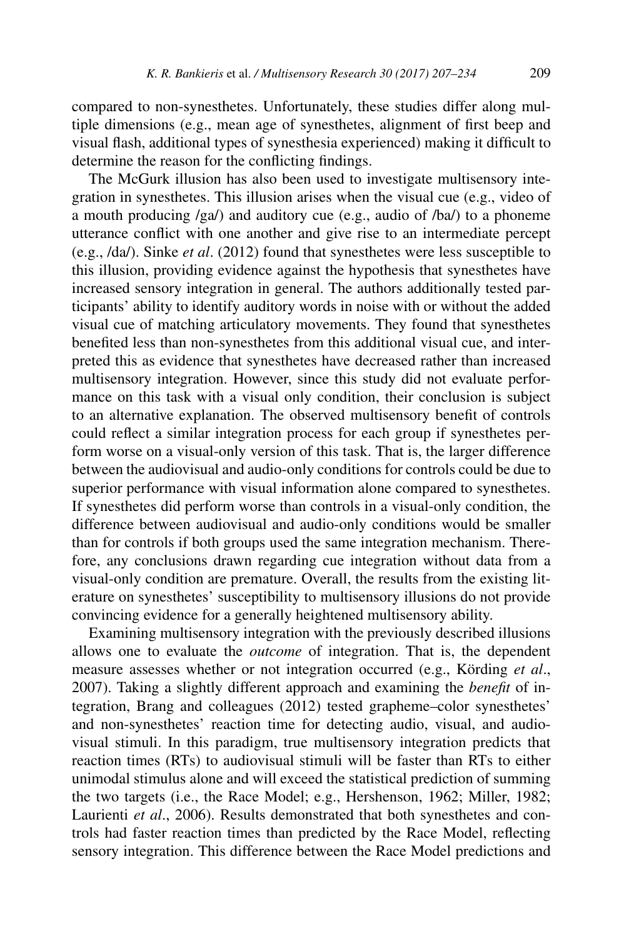compared to non-synesthetes. Unfortunately, these studies differ along multiple dimensions (e.g., mean age of synesthetes, alignment of first beep and visual flash, additional types of synesthesia experienced) making it difficult to determine the reason for the conflicting findings.

The McGurk illusion has also been used to investigate multisensory integration in synesthetes. This illusion arises when the visual cue (e.g., video of a mouth producing  $/ga$ ) and auditory cue (e.g., audio of  $/ba$ ) to a phoneme utterance conflict with one another and give rise to an intermediate percept (e.g., /da/). Sinke *et al*. (2012) found that synesthetes were less susceptible to this illusion, providing evidence against the hypothesis that synesthetes have increased sensory integration in general. The authors additionally tested participants' ability to identify auditory words in noise with or without the added visual cue of matching articulatory movements. They found that synesthetes benefited less than non-synesthetes from this additional visual cue, and interpreted this as evidence that synesthetes have decreased rather than increased multisensory integration. However, since this study did not evaluate performance on this task with a visual only condition, their conclusion is subject to an alternative explanation. The observed multisensory benefit of controls could reflect a similar integration process for each group if synesthetes perform worse on a visual-only version of this task. That is, the larger difference between the audiovisual and audio-only conditions for controls could be due to superior performance with visual information alone compared to synesthetes. If synesthetes did perform worse than controls in a visual-only condition, the difference between audiovisual and audio-only conditions would be smaller than for controls if both groups used the same integration mechanism. Therefore, any conclusions drawn regarding cue integration without data from a visual-only condition are premature. Overall, the results from the existing literature on synesthetes' susceptibility to multisensory illusions do not provide convincing evidence for a generally heightened multisensory ability.

Examining multisensory integration with the previously described illusions allows one to evaluate the *outcome* of integration. That is, the dependent measure assesses whether or not integration occurred (e.g., Körding *et al*., 2007). Taking a slightly different approach and examining the *benefit* of integration, Brang and colleagues (2012) tested grapheme–color synesthetes' and non-synesthetes' reaction time for detecting audio, visual, and audiovisual stimuli. In this paradigm, true multisensory integration predicts that reaction times (RTs) to audiovisual stimuli will be faster than RTs to either unimodal stimulus alone and will exceed the statistical prediction of summing the two targets (i.e., the Race Model; e.g., Hershenson, 1962; Miller, 1982; Laurienti *et al*., 2006). Results demonstrated that both synesthetes and controls had faster reaction times than predicted by the Race Model, reflecting sensory integration. This difference between the Race Model predictions and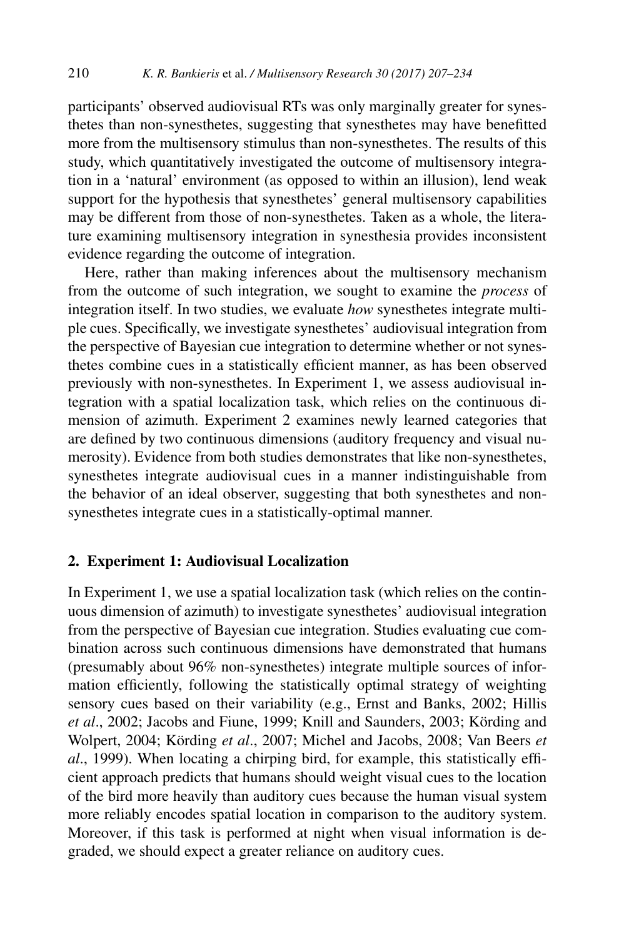participants' observed audiovisual RTs was only marginally greater for synesthetes than non-synesthetes, suggesting that synesthetes may have benefitted more from the multisensory stimulus than non-synesthetes. The results of this study, which quantitatively investigated the outcome of multisensory integration in a 'natural' environment (as opposed to within an illusion), lend weak support for the hypothesis that synesthetes' general multisensory capabilities may be different from those of non-synesthetes. Taken as a whole, the literature examining multisensory integration in synesthesia provides inconsistent evidence regarding the outcome of integration.

Here, rather than making inferences about the multisensory mechanism from the outcome of such integration, we sought to examine the *process* of integration itself. In two studies, we evaluate *how* synesthetes integrate multiple cues. Specifically, we investigate synesthetes' audiovisual integration from the perspective of Bayesian cue integration to determine whether or not synesthetes combine cues in a statistically efficient manner, as has been observed previously with non-synesthetes. In Experiment 1, we assess audiovisual integration with a spatial localization task, which relies on the continuous dimension of azimuth. Experiment 2 examines newly learned categories that are defined by two continuous dimensions (auditory frequency and visual numerosity). Evidence from both studies demonstrates that like non-synesthetes, synesthetes integrate audiovisual cues in a manner indistinguishable from the behavior of an ideal observer, suggesting that both synesthetes and nonsynesthetes integrate cues in a statistically-optimal manner.

## **2. Experiment 1: Audiovisual Localization**

In Experiment 1, we use a spatial localization task (which relies on the continuous dimension of azimuth) to investigate synesthetes' audiovisual integration from the perspective of Bayesian cue integration. Studies evaluating cue combination across such continuous dimensions have demonstrated that humans (presumably about 96% non-synesthetes) integrate multiple sources of information efficiently, following the statistically optimal strategy of weighting sensory cues based on their variability (e.g., Ernst and Banks, 2002; Hillis *et al*., 2002; Jacobs and Fiune, 1999; Knill and Saunders, 2003; Körding and Wolpert, 2004; Körding *et al*., 2007; Michel and Jacobs, 2008; Van Beers *et al*., 1999). When locating a chirping bird, for example, this statistically efficient approach predicts that humans should weight visual cues to the location of the bird more heavily than auditory cues because the human visual system more reliably encodes spatial location in comparison to the auditory system. Moreover, if this task is performed at night when visual information is degraded, we should expect a greater reliance on auditory cues.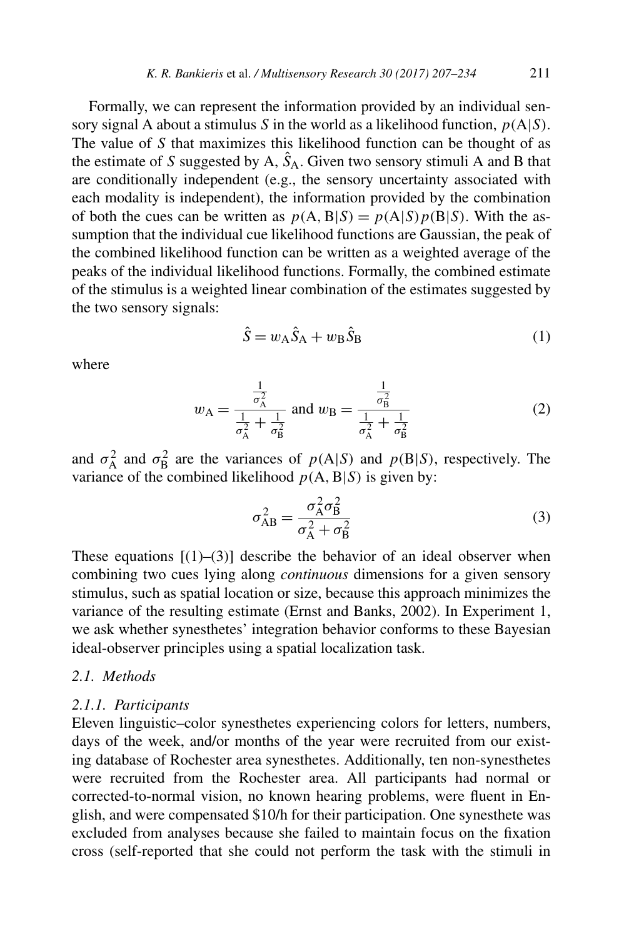Formally, we can represent the information provided by an individual sensory signal A about a stimulus *S* in the world as a likelihood function, *p(*A|*S)*. The value of *S* that maximizes this likelihood function can be thought of as the estimate of *S* suggested by A,  $\hat{S}_A$ . Given two sensory stimuli A and B that are conditionally independent (e.g., the sensory uncertainty associated with each modality is independent), the information provided by the combination of both the cues can be written as  $p(A, B|S) = p(A|S)p(B|S)$ . With the assumption that the individual cue likelihood functions are Gaussian, the peak of the combined likelihood function can be written as a weighted average of the peaks of the individual likelihood functions. Formally, the combined estimate of the stimulus is a weighted linear combination of the estimates suggested by the two sensory signals:

$$
\hat{S} = w_A \hat{S}_A + w_B \hat{S}_B \tag{1}
$$

where

$$
w_{\rm A} = \frac{\frac{1}{\sigma_{\rm A}^2}}{\frac{1}{\sigma_{\rm A}^2} + \frac{1}{\sigma_{\rm B}^2}} \text{ and } w_{\rm B} = \frac{\frac{1}{\sigma_{\rm B}^2}}{\frac{1}{\sigma_{\rm A}^2} + \frac{1}{\sigma_{\rm B}^2}}
$$
(2)

and  $\sigma_A^2$  and  $\sigma_B^2$  are the variances of  $p(A|S)$  and  $p(B|S)$ , respectively. The variance of the combined likelihood  $p(A, B|S)$  is given by:

$$
\sigma_{AB}^2 = \frac{\sigma_A^2 \sigma_B^2}{\sigma_A^2 + \sigma_B^2}
$$
 (3)

These equations  $[(1)–(3)]$  describe the behavior of an ideal observer when combining two cues lying along *continuous* dimensions for a given sensory stimulus, such as spatial location or size, because this approach minimizes the variance of the resulting estimate (Ernst and Banks, 2002). In Experiment 1, we ask whether synesthetes' integration behavior conforms to these Bayesian ideal-observer principles using a spatial localization task.

## *2.1. Methods*

#### *2.1.1. Participants*

Eleven linguistic–color synesthetes experiencing colors for letters, numbers, days of the week, and/or months of the year were recruited from our existing database of Rochester area synesthetes. Additionally, ten non-synesthetes were recruited from the Rochester area. All participants had normal or corrected-to-normal vision, no known hearing problems, were fluent in English, and were compensated \$10/h for their participation. One synesthete was excluded from analyses because she failed to maintain focus on the fixation cross (self-reported that she could not perform the task with the stimuli in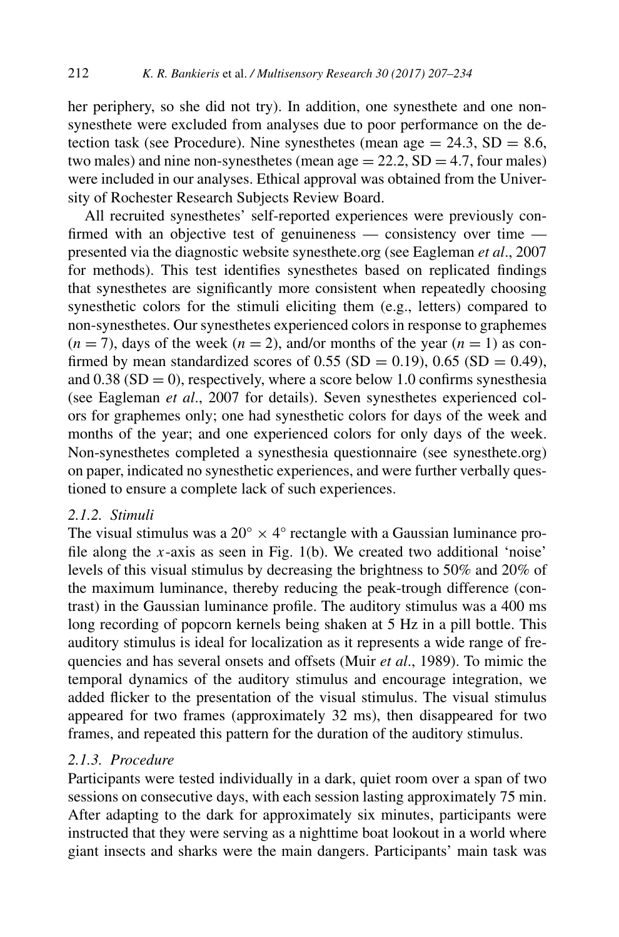her periphery, so she did not try). In addition, one synesthete and one nonsynesthete were excluded from analyses due to poor performance on the detection task (see Procedure). Nine synesthetes (mean age  $= 24.3$ , SD  $= 8.6$ , two males) and nine non-synesthetes (mean age  $= 22.2$ ,  $SD = 4.7$ , four males) were included in our analyses. Ethical approval was obtained from the University of Rochester Research Subjects Review Board.

All recruited synesthetes' self-reported experiences were previously confirmed with an objective test of genuineness — consistency over time presented via the diagnostic website [synesthete.org](http://synesthete.org) (see Eagleman *et al*., 2007 for methods). This test identifies synesthetes based on replicated findings that synesthetes are significantly more consistent when repeatedly choosing synesthetic colors for the stimuli eliciting them (e.g., letters) compared to non-synesthetes. Our synesthetes experienced colors in response to graphemes  $(n = 7)$ , days of the week  $(n = 2)$ , and/or months of the year  $(n = 1)$  as confirmed by mean standardized scores of 0.55 (SD = 0.19), 0.65 (SD = 0.49), and  $0.38$  (SD = 0), respectively, where a score below 1.0 confirms synesthesia (see Eagleman *et al*., 2007 for details). Seven synesthetes experienced colors for graphemes only; one had synesthetic colors for days of the week and months of the year; and one experienced colors for only days of the week. Non-synesthetes completed a synesthesia questionnaire (see [synesthete.org\)](http://synesthete.org) on paper, indicated no synesthetic experiences, and were further verbally questioned to ensure a complete lack of such experiences.

# *2.1.2. Stimuli*

The visual stimulus was a  $20^{\circ} \times 4^{\circ}$  rectangle with a Gaussian luminance profile along the *x*-axis as seen in Fig. 1(b). We created two additional 'noise' levels of this visual stimulus by decreasing the brightness to 50% and 20% of the maximum luminance, thereby reducing the peak-trough difference (contrast) in the Gaussian luminance profile. The auditory stimulus was a 400 ms long recording of popcorn kernels being shaken at 5 Hz in a pill bottle. This auditory stimulus is ideal for localization as it represents a wide range of frequencies and has several onsets and offsets (Muir *et al*., 1989). To mimic the temporal dynamics of the auditory stimulus and encourage integration, we added flicker to the presentation of the visual stimulus. The visual stimulus appeared for two frames (approximately 32 ms), then disappeared for two frames, and repeated this pattern for the duration of the auditory stimulus.

# *2.1.3. Procedure*

Participants were tested individually in a dark, quiet room over a span of two sessions on consecutive days, with each session lasting approximately 75 min. After adapting to the dark for approximately six minutes, participants were instructed that they were serving as a nighttime boat lookout in a world where giant insects and sharks were the main dangers. Participants' main task was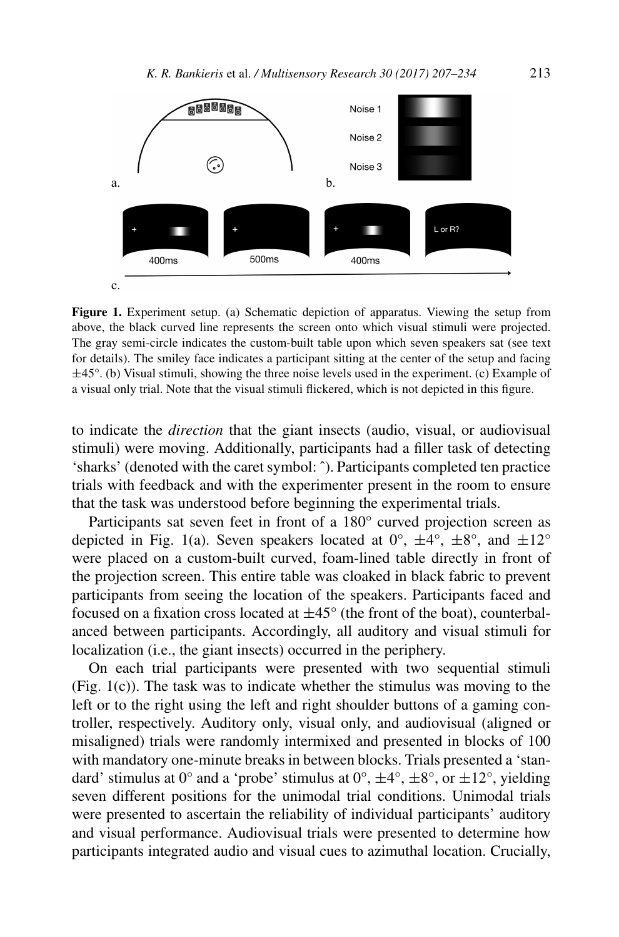

**Figure 1.** Experiment setup. (a) Schematic depiction of apparatus. Viewing the setup from above, the black curved line represents the screen onto which visual stimuli were projected. The gray semi-circle indicates the custom-built table upon which seven speakers sat (see text for details). The smiley face indicates a participant sitting at the center of the setup and facing  $\pm$ 45°. (b) Visual stimuli, showing the three noise levels used in the experiment. (c) Example of a visual only trial. Note that the visual stimuli flickered, which is not depicted in this figure.

to indicate the *direction* that the giant insects (audio, visual, or audiovisual stimuli) were moving. Additionally, participants had a filler task of detecting 'sharks' (denoted with the caret symbol: ˆ). Participants completed ten practice trials with feedback and with the experimenter present in the room to ensure that the task was understood before beginning the experimental trials.

Participants sat seven feet in front of a 180° curved projection screen as depicted in Fig. 1(a). Seven speakers located at  $0^{\circ}$ ,  $\pm 4^{\circ}$ ,  $\pm 8^{\circ}$ , and  $\pm 12^{\circ}$ were placed on a custom-built curved, foam-lined table directly in front of the projection screen. This entire table was cloaked in black fabric to prevent participants from seeing the location of the speakers. Participants faced and focused on a fixation cross located at  $\pm 45^{\circ}$  (the front of the boat), counterbalanced between participants. Accordingly, all auditory and visual stimuli for localization (i.e., the giant insects) occurred in the periphery.

On each trial participants were presented with two sequential stimuli (Fig. 1(c)). The task was to indicate whether the stimulus was moving to the left or to the right using the left and right shoulder buttons of a gaming controller, respectively. Auditory only, visual only, and audiovisual (aligned or misaligned) trials were randomly intermixed and presented in blocks of 100 with mandatory one-minute breaks in between blocks. Trials presented a 'standard' stimulus at  $0^{\circ}$  and a 'probe' stimulus at  $0^{\circ}$ ,  $\pm 4^{\circ}$ ,  $\pm 8^{\circ}$ , or  $\pm 12^{\circ}$ , yielding seven different positions for the unimodal trial conditions. Unimodal trials were presented to ascertain the reliability of individual participants' auditory and visual performance. Audiovisual trials were presented to determine how participants integrated audio and visual cues to azimuthal location. Crucially,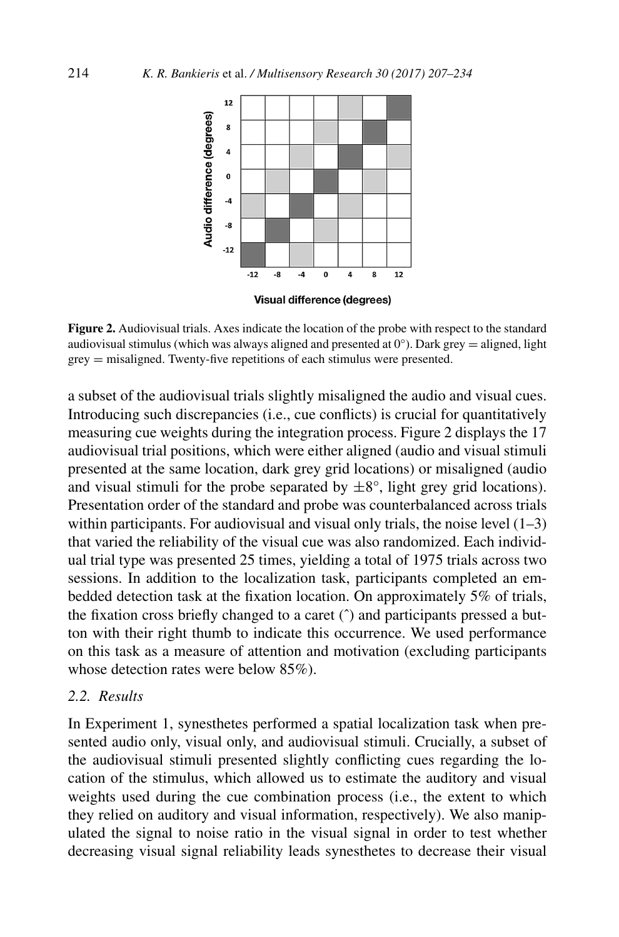

**Figure 2.** Audiovisual trials. Axes indicate the location of the probe with respect to the standard audiovisual stimulus (which was always aligned and presented at  $0^{\circ}$ ). Dark grey = aligned, light  $grey = misaligned$ . Twenty-five repetitions of each stimulus were presented.

a subset of the audiovisual trials slightly misaligned the audio and visual cues. Introducing such discrepancies (i.e., cue conflicts) is crucial for quantitatively measuring cue weights during the integration process. Figure 2 displays the 17 audiovisual trial positions, which were either aligned (audio and visual stimuli presented at the same location, dark grey grid locations) or misaligned (audio and visual stimuli for the probe separated by  $\pm 8^{\circ}$ , light grey grid locations). Presentation order of the standard and probe was counterbalanced across trials within participants. For audiovisual and visual only trials, the noise level  $(1-3)$ that varied the reliability of the visual cue was also randomized. Each individual trial type was presented 25 times, yielding a total of 1975 trials across two sessions. In addition to the localization task, participants completed an embedded detection task at the fixation location. On approximately 5% of trials, the fixation cross briefly changed to a caret (ˆ) and participants pressed a button with their right thumb to indicate this occurrence. We used performance on this task as a measure of attention and motivation (excluding participants whose detection rates were below 85%).

## *2.2. Results*

In Experiment 1, synesthetes performed a spatial localization task when presented audio only, visual only, and audiovisual stimuli. Crucially, a subset of the audiovisual stimuli presented slightly conflicting cues regarding the location of the stimulus, which allowed us to estimate the auditory and visual weights used during the cue combination process (i.e., the extent to which they relied on auditory and visual information, respectively). We also manipulated the signal to noise ratio in the visual signal in order to test whether decreasing visual signal reliability leads synesthetes to decrease their visual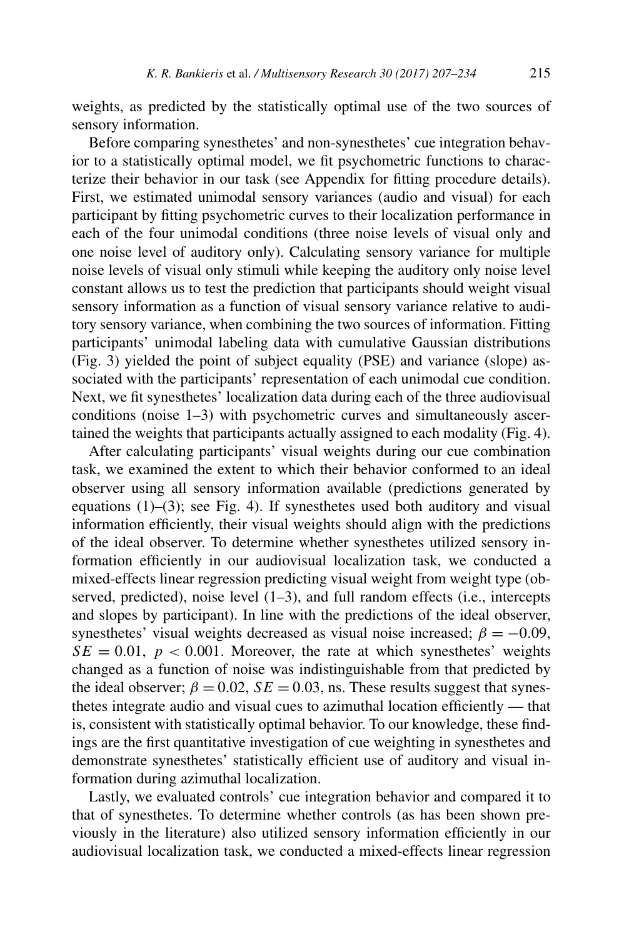weights, as predicted by the statistically optimal use of the two sources of sensory information.

Before comparing synesthetes' and non-synesthetes' cue integration behavior to a statistically optimal model, we fit psychometric functions to characterize their behavior in our task (see Appendix for fitting procedure details). First, we estimated unimodal sensory variances (audio and visual) for each participant by fitting psychometric curves to their localization performance in each of the four unimodal conditions (three noise levels of visual only and one noise level of auditory only). Calculating sensory variance for multiple noise levels of visual only stimuli while keeping the auditory only noise level constant allows us to test the prediction that participants should weight visual sensory information as a function of visual sensory variance relative to auditory sensory variance, when combining the two sources of information. Fitting participants' unimodal labeling data with cumulative Gaussian distributions (Fig. 3) yielded the point of subject equality (PSE) and variance (slope) associated with the participants' representation of each unimodal cue condition. Next, we fit synesthetes' localization data during each of the three audiovisual conditions (noise 1–3) with psychometric curves and simultaneously ascertained the weights that participants actually assigned to each modality (Fig. 4).

After calculating participants' visual weights during our cue combination task, we examined the extent to which their behavior conformed to an ideal observer using all sensory information available (predictions generated by equations (1)–(3); see Fig. 4). If synesthetes used both auditory and visual information efficiently, their visual weights should align with the predictions of the ideal observer. To determine whether synesthetes utilized sensory information efficiently in our audiovisual localization task, we conducted a mixed-effects linear regression predicting visual weight from weight type (observed, predicted), noise level  $(1-3)$ , and full random effects (i.e., intercepts and slopes by participant). In line with the predictions of the ideal observer, synesthetes' visual weights decreased as visual noise increased;  $\beta = -0.09$ ,  $SE = 0.01$ ,  $p < 0.001$ . Moreover, the rate at which synesthetes' weights changed as a function of noise was indistinguishable from that predicted by the ideal observer;  $\beta = 0.02$ ,  $SE = 0.03$ , ns. These results suggest that synesthetes integrate audio and visual cues to azimuthal location efficiently — that is, consistent with statistically optimal behavior. To our knowledge, these findings are the first quantitative investigation of cue weighting in synesthetes and demonstrate synesthetes' statistically efficient use of auditory and visual information during azimuthal localization.

Lastly, we evaluated controls' cue integration behavior and compared it to that of synesthetes. To determine whether controls (as has been shown previously in the literature) also utilized sensory information efficiently in our audiovisual localization task, we conducted a mixed-effects linear regression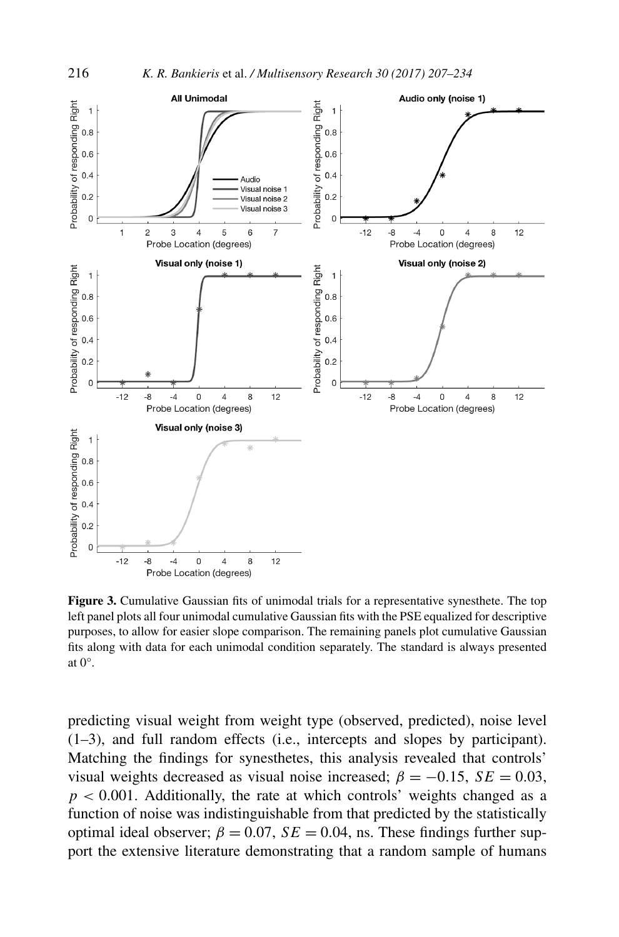

**Figure 3.** Cumulative Gaussian fits of unimodal trials for a representative synesthete. The top left panel plots all four unimodal cumulative Gaussian fits with the PSE equalized for descriptive purposes, to allow for easier slope comparison. The remaining panels plot cumulative Gaussian fits along with data for each unimodal condition separately. The standard is always presented at 0°.

predicting visual weight from weight type (observed, predicted), noise level (1–3), and full random effects (i.e., intercepts and slopes by participant). Matching the findings for synesthetes, this analysis revealed that controls' visual weights decreased as visual noise increased;  $\beta = -0.15$ ,  $SE = 0.03$ ,  $p < 0.001$ . Additionally, the rate at which controls' weights changed as a function of noise was indistinguishable from that predicted by the statistically optimal ideal observer;  $\beta = 0.07$ ,  $SE = 0.04$ , ns. These findings further support the extensive literature demonstrating that a random sample of humans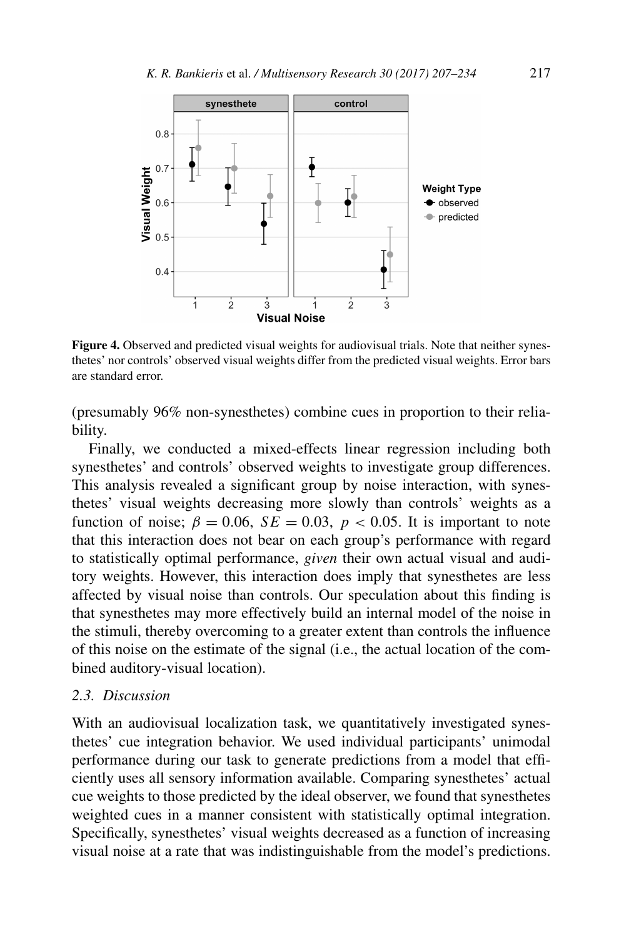

**Figure 4.** Observed and predicted visual weights for audiovisual trials. Note that neither synesthetes' nor controls' observed visual weights differ from the predicted visual weights. Error bars are standard error.

(presumably 96% non-synesthetes) combine cues in proportion to their reliability.

Finally, we conducted a mixed-effects linear regression including both synesthetes' and controls' observed weights to investigate group differences. This analysis revealed a significant group by noise interaction, with synesthetes' visual weights decreasing more slowly than controls' weights as a function of noise;  $\beta = 0.06$ ,  $SE = 0.03$ ,  $p < 0.05$ . It is important to note that this interaction does not bear on each group's performance with regard to statistically optimal performance, *given* their own actual visual and auditory weights. However, this interaction does imply that synesthetes are less affected by visual noise than controls. Our speculation about this finding is that synesthetes may more effectively build an internal model of the noise in the stimuli, thereby overcoming to a greater extent than controls the influence of this noise on the estimate of the signal (i.e., the actual location of the combined auditory-visual location).

#### *2.3. Discussion*

With an audiovisual localization task, we quantitatively investigated synesthetes' cue integration behavior. We used individual participants' unimodal performance during our task to generate predictions from a model that efficiently uses all sensory information available. Comparing synesthetes' actual cue weights to those predicted by the ideal observer, we found that synesthetes weighted cues in a manner consistent with statistically optimal integration. Specifically, synesthetes' visual weights decreased as a function of increasing visual noise at a rate that was indistinguishable from the model's predictions.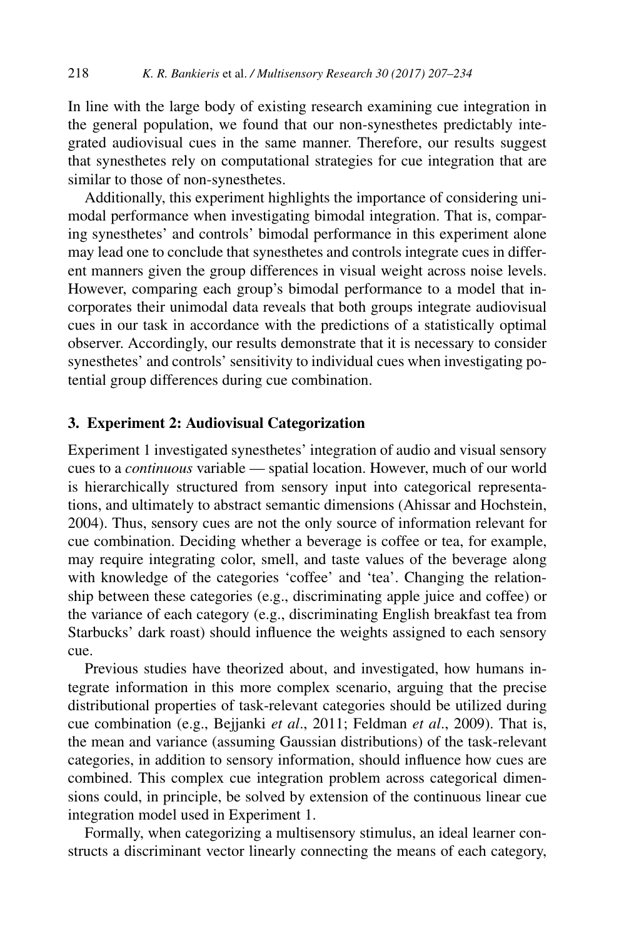In line with the large body of existing research examining cue integration in the general population, we found that our non-synesthetes predictably integrated audiovisual cues in the same manner. Therefore, our results suggest that synesthetes rely on computational strategies for cue integration that are similar to those of non-synesthetes.

Additionally, this experiment highlights the importance of considering unimodal performance when investigating bimodal integration. That is, comparing synesthetes' and controls' bimodal performance in this experiment alone may lead one to conclude that synesthetes and controls integrate cues in different manners given the group differences in visual weight across noise levels. However, comparing each group's bimodal performance to a model that incorporates their unimodal data reveals that both groups integrate audiovisual cues in our task in accordance with the predictions of a statistically optimal observer. Accordingly, our results demonstrate that it is necessary to consider synesthetes' and controls' sensitivity to individual cues when investigating potential group differences during cue combination.

## **3. Experiment 2: Audiovisual Categorization**

Experiment 1 investigated synesthetes' integration of audio and visual sensory cues to a *continuous* variable — spatial location. However, much of our world is hierarchically structured from sensory input into categorical representations, and ultimately to abstract semantic dimensions (Ahissar and Hochstein, 2004). Thus, sensory cues are not the only source of information relevant for cue combination. Deciding whether a beverage is coffee or tea, for example, may require integrating color, smell, and taste values of the beverage along with knowledge of the categories 'coffee' and 'tea'. Changing the relationship between these categories (e.g., discriminating apple juice and coffee) or the variance of each category (e.g., discriminating English breakfast tea from Starbucks' dark roast) should influence the weights assigned to each sensory cue.

Previous studies have theorized about, and investigated, how humans integrate information in this more complex scenario, arguing that the precise distributional properties of task-relevant categories should be utilized during cue combination (e.g., Bejjanki *et al*., 2011; Feldman *et al*., 2009). That is, the mean and variance (assuming Gaussian distributions) of the task-relevant categories, in addition to sensory information, should influence how cues are combined. This complex cue integration problem across categorical dimensions could, in principle, be solved by extension of the continuous linear cue integration model used in Experiment 1.

Formally, when categorizing a multisensory stimulus, an ideal learner constructs a discriminant vector linearly connecting the means of each category,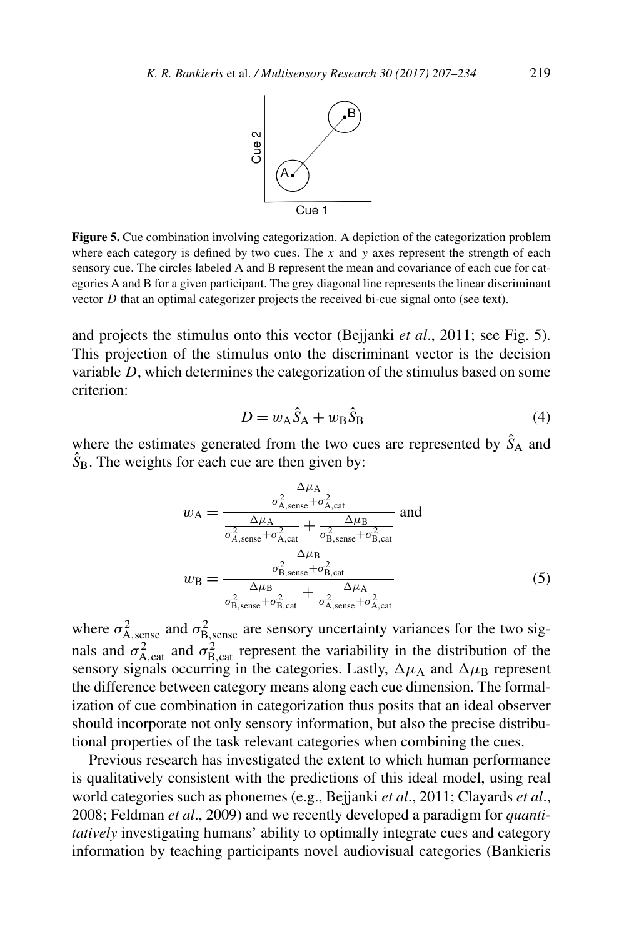

**Figure 5.** Cue combination involving categorization. A depiction of the categorization problem where each category is defined by two cues. The  $x$  and  $y$  axes represent the strength of each sensory cue. The circles labeled A and B represent the mean and covariance of each cue for categories A and B for a given participant. The grey diagonal line represents the linear discriminant vector *D* that an optimal categorizer projects the received bi-cue signal onto (see text).

and projects the stimulus onto this vector (Bejjanki *et al*., 2011; see Fig. 5). This projection of the stimulus onto the discriminant vector is the decision variable *D*, which determines the categorization of the stimulus based on some criterion:

$$
D = w_A \hat{S}_A + w_B \hat{S}_B \tag{4}
$$

where the estimates generated from the two cues are represented by  $\hat{S}_A$  and  $\hat{S}_B$ . The weights for each cue are then given by:

$$
w_{\rm A} = \frac{\frac{\Delta \mu_{\rm A}}{\sigma_{\rm A, sense}^2 + \sigma_{\rm A, cat}^2}}{\frac{\Delta \mu_{\rm A}}{\sigma_{\rm A, sense}^2 + \sigma_{\rm A, cat}^2} + \frac{\Delta \mu_{\rm B}}{\sigma_{\rm B, sense}^2 + \sigma_{\rm B, cat}^2}} \text{ and}
$$

$$
w_{\rm B} = \frac{\frac{\Delta \mu_{\rm B}}{\sigma_{\rm B, sense}^2 + \sigma_{\rm B, cat}^2}}{\frac{\Delta \mu_{\rm B}}{\sigma_{\rm B, sense}^2 + \sigma_{\rm B, cat}^2} + \frac{\Delta \mu_{\rm A}}{\sigma_{\rm A, sense}^2 + \sigma_{\rm A, cat}^2}} \tag{5}
$$

where  $\sigma_{A,\text{sense}}^2$  and  $\sigma_{B,\text{sense}}^2$  are sensory uncertainty variances for the two signals and  $\sigma_{A,\text{cat}}^2$  and  $\sigma_{B,\text{cat}}^2$  represent the variability in the distribution of the sensory signals occurring in the categories. Lastly,  $\Delta \mu_A$  and  $\Delta \mu_B$  represent the difference between category means along each cue dimension. The formalization of cue combination in categorization thus posits that an ideal observer should incorporate not only sensory information, but also the precise distributional properties of the task relevant categories when combining the cues.

Previous research has investigated the extent to which human performance is qualitatively consistent with the predictions of this ideal model, using real world categories such as phonemes (e.g., Bejjanki *et al*., 2011; Clayards *et al*., 2008; Feldman *et al*., 2009) and we recently developed a paradigm for *quantitatively* investigating humans' ability to optimally integrate cues and category information by teaching participants novel audiovisual categories (Bankieris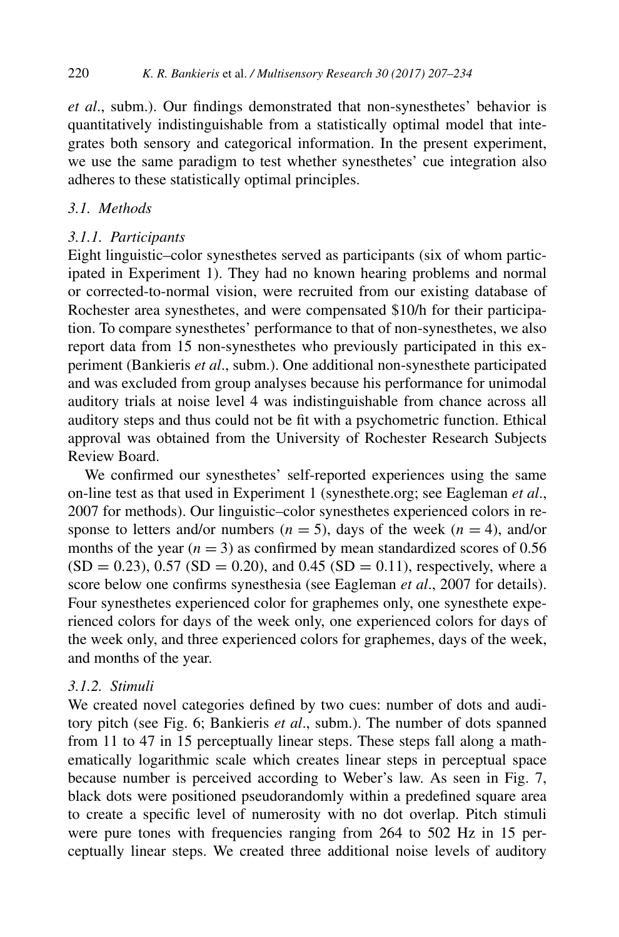*et al*., subm.). Our findings demonstrated that non-synesthetes' behavior is quantitatively indistinguishable from a statistically optimal model that integrates both sensory and categorical information. In the present experiment, we use the same paradigm to test whether synesthetes' cue integration also adheres to these statistically optimal principles.

# *3.1. Methods*

# *3.1.1. Participants*

Eight linguistic–color synesthetes served as participants (six of whom participated in Experiment 1). They had no known hearing problems and normal or corrected-to-normal vision, were recruited from our existing database of Rochester area synesthetes, and were compensated \$10/h for their participation. To compare synesthetes' performance to that of non-synesthetes, we also report data from 15 non-synesthetes who previously participated in this experiment (Bankieris *et al*., subm.). One additional non-synesthete participated and was excluded from group analyses because his performance for unimodal auditory trials at noise level 4 was indistinguishable from chance across all auditory steps and thus could not be fit with a psychometric function. Ethical approval was obtained from the University of Rochester Research Subjects Review Board.

We confirmed our synesthetes' self-reported experiences using the same on-line test as that used in Experiment 1 ([synesthete.org](http://synesthete.org); see Eagleman *et al*., 2007 for methods). Our linguistic–color synesthetes experienced colors in response to letters and/or numbers  $(n = 5)$ , days of the week  $(n = 4)$ , and/or months of the year  $(n = 3)$  as confirmed by mean standardized scores of 0.56  $(SD = 0.23)$ ,  $0.57$   $(SD = 0.20)$ , and  $0.45$   $(SD = 0.11)$ , respectively, where a score below one confirms synesthesia (see Eagleman *et al*., 2007 for details). Four synesthetes experienced color for graphemes only, one synesthete experienced colors for days of the week only, one experienced colors for days of the week only, and three experienced colors for graphemes, days of the week, and months of the year.

# *3.1.2. Stimuli*

We created novel categories defined by two cues: number of dots and auditory pitch (see Fig. 6; Bankieris *et al*., subm.). The number of dots spanned from 11 to 47 in 15 perceptually linear steps. These steps fall along a mathematically logarithmic scale which creates linear steps in perceptual space because number is perceived according to Weber's law. As seen in Fig. 7, black dots were positioned pseudorandomly within a predefined square area to create a specific level of numerosity with no dot overlap. Pitch stimuli were pure tones with frequencies ranging from 264 to 502 Hz in 15 perceptually linear steps. We created three additional noise levels of auditory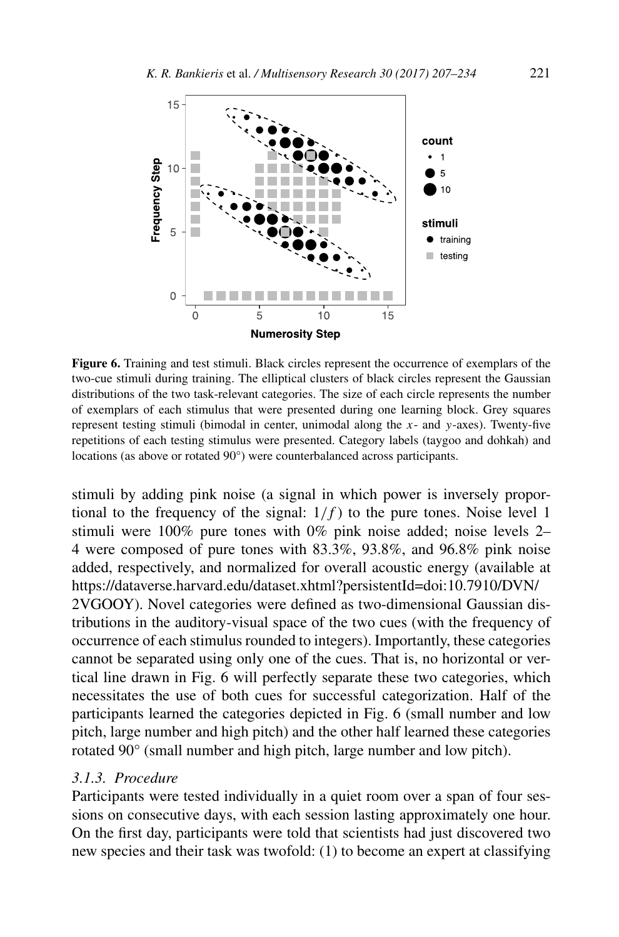

**Figure 6.** Training and test stimuli. Black circles represent the occurrence of exemplars of the two-cue stimuli during training. The elliptical clusters of black circles represent the Gaussian distributions of the two task-relevant categories. The size of each circle represents the number of exemplars of each stimulus that were presented during one learning block. Grey squares represent testing stimuli (bimodal in center, unimodal along the *x*- and *y*-axes). Twenty-five repetitions of each testing stimulus were presented. Category labels (taygoo and dohkah) and locations (as above or rotated 90°) were counterbalanced across participants.

stimuli by adding pink noise (a signal in which power is inversely proportional to the frequency of the signal:  $1/f$  to the pure tones. Noise level 1 stimuli were 100% pure tones with 0% pink noise added; noise levels 2– 4 were composed of pure tones with 83.3%, 93.8%, and 96.8% pink noise added, respectively, and normalized for overall acoustic energy (available at [https://dataverse.harvard.edu/dataset.xhtml?persistentId=doi:10.7910/DVN/](https://dataverse.harvard.edu/dataset.xhtml%3FpersistentId%3Ddoi:10.7910/DVN/2VGOOY) [2VGOOY](https://dataverse.harvard.edu/dataset.xhtml%3FpersistentId%3Ddoi:10.7910/DVN/2VGOOY)). Novel categories were defined as two-dimensional Gaussian distributions in the auditory-visual space of the two cues (with the frequency of occurrence of each stimulus rounded to integers). Importantly, these categories cannot be separated using only one of the cues. That is, no horizontal or vertical line drawn in Fig. 6 will perfectly separate these two categories, which necessitates the use of both cues for successful categorization. Half of the participants learned the categories depicted in Fig. 6 (small number and low pitch, large number and high pitch) and the other half learned these categories rotated 90° (small number and high pitch, large number and low pitch).

# *3.1.3. Procedure*

Participants were tested individually in a quiet room over a span of four sessions on consecutive days, with each session lasting approximately one hour. On the first day, participants were told that scientists had just discovered two new species and their task was twofold: (1) to become an expert at classifying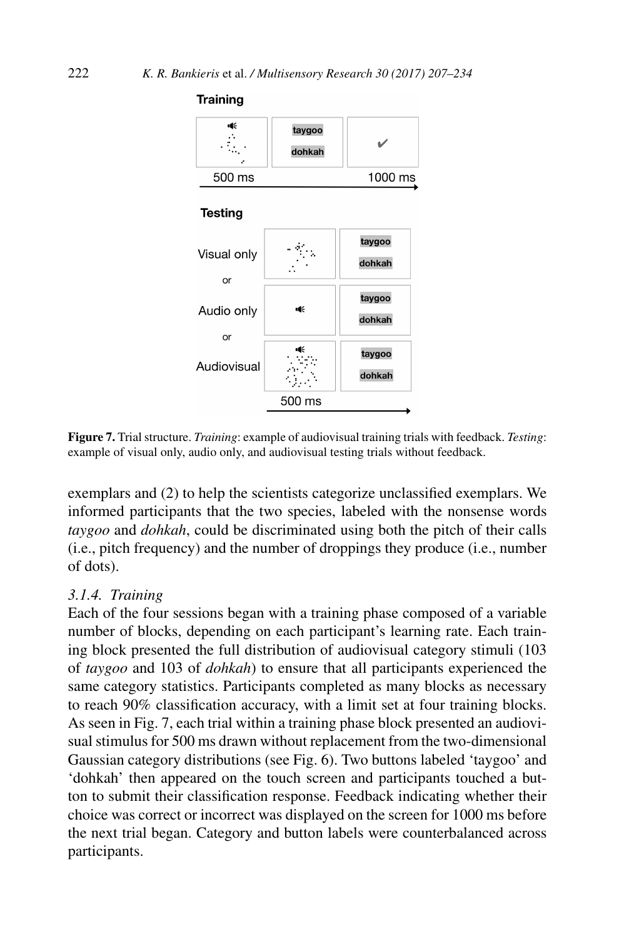

## **Testing**



**Figure 7.** Trial structure. *Training*: example of audiovisual training trials with feedback. *Testing*: example of visual only, audio only, and audiovisual testing trials without feedback.

exemplars and (2) to help the scientists categorize unclassified exemplars. We informed participants that the two species, labeled with the nonsense words *taygoo* and *dohkah*, could be discriminated using both the pitch of their calls (i.e., pitch frequency) and the number of droppings they produce (i.e., number of dots).

# *3.1.4. Training*

Each of the four sessions began with a training phase composed of a variable number of blocks, depending on each participant's learning rate. Each training block presented the full distribution of audiovisual category stimuli (103 of *taygoo* and 103 of *dohkah*) to ensure that all participants experienced the same category statistics. Participants completed as many blocks as necessary to reach 90% classification accuracy, with a limit set at four training blocks. As seen in Fig. 7, each trial within a training phase block presented an audiovisual stimulus for 500 ms drawn without replacement from the two-dimensional Gaussian category distributions (see Fig. 6). Two buttons labeled 'taygoo' and 'dohkah' then appeared on the touch screen and participants touched a button to submit their classification response. Feedback indicating whether their choice was correct or incorrect was displayed on the screen for 1000 ms before the next trial began. Category and button labels were counterbalanced across participants.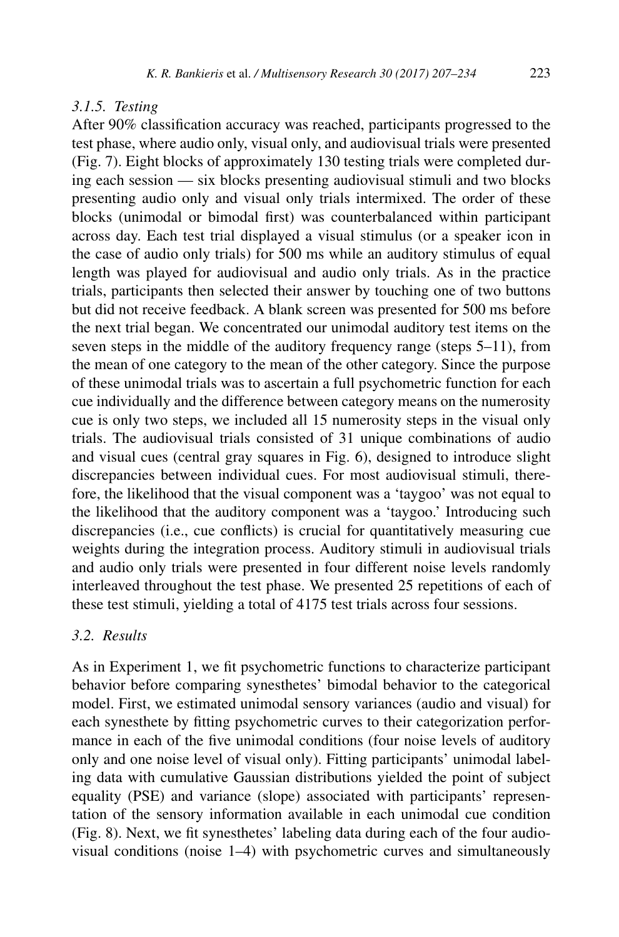#### *3.1.5. Testing*

After 90% classification accuracy was reached, participants progressed to the test phase, where audio only, visual only, and audiovisual trials were presented (Fig. 7). Eight blocks of approximately 130 testing trials were completed during each session — six blocks presenting audiovisual stimuli and two blocks presenting audio only and visual only trials intermixed. The order of these blocks (unimodal or bimodal first) was counterbalanced within participant across day. Each test trial displayed a visual stimulus (or a speaker icon in the case of audio only trials) for 500 ms while an auditory stimulus of equal length was played for audiovisual and audio only trials. As in the practice trials, participants then selected their answer by touching one of two buttons but did not receive feedback. A blank screen was presented for 500 ms before the next trial began. We concentrated our unimodal auditory test items on the seven steps in the middle of the auditory frequency range (steps 5–11), from the mean of one category to the mean of the other category. Since the purpose of these unimodal trials was to ascertain a full psychometric function for each cue individually and the difference between category means on the numerosity cue is only two steps, we included all 15 numerosity steps in the visual only trials. The audiovisual trials consisted of 31 unique combinations of audio and visual cues (central gray squares in Fig. 6), designed to introduce slight discrepancies between individual cues. For most audiovisual stimuli, therefore, the likelihood that the visual component was a 'taygoo' was not equal to the likelihood that the auditory component was a 'taygoo.' Introducing such discrepancies (i.e., cue conflicts) is crucial for quantitatively measuring cue weights during the integration process. Auditory stimuli in audiovisual trials and audio only trials were presented in four different noise levels randomly interleaved throughout the test phase. We presented 25 repetitions of each of these test stimuli, yielding a total of 4175 test trials across four sessions.

#### *3.2. Results*

As in Experiment 1, we fit psychometric functions to characterize participant behavior before comparing synesthetes' bimodal behavior to the categorical model. First, we estimated unimodal sensory variances (audio and visual) for each synesthete by fitting psychometric curves to their categorization performance in each of the five unimodal conditions (four noise levels of auditory only and one noise level of visual only). Fitting participants' unimodal labeling data with cumulative Gaussian distributions yielded the point of subject equality (PSE) and variance (slope) associated with participants' representation of the sensory information available in each unimodal cue condition (Fig. 8). Next, we fit synesthetes' labeling data during each of the four audiovisual conditions (noise 1–4) with psychometric curves and simultaneously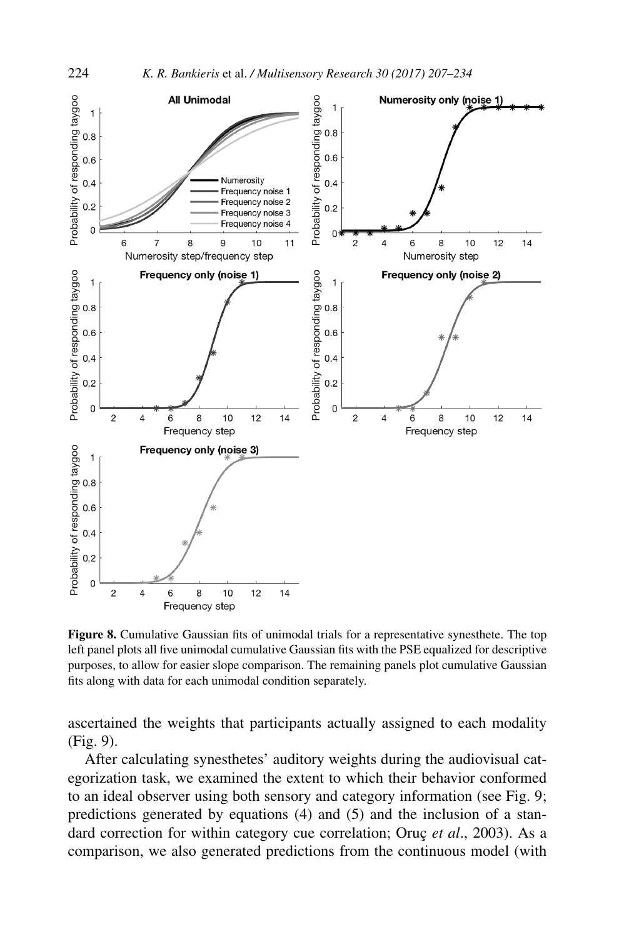

**Figure 8.** Cumulative Gaussian fits of unimodal trials for a representative synesthete. The top left panel plots all five unimodal cumulative Gaussian fits with the PSE equalized for descriptive purposes, to allow for easier slope comparison. The remaining panels plot cumulative Gaussian fits along with data for each unimodal condition separately.

ascertained the weights that participants actually assigned to each modality (Fig. 9).

After calculating synesthetes' auditory weights during the audiovisual categorization task, we examined the extent to which their behavior conformed to an ideal observer using both sensory and category information (see Fig. 9; predictions generated by equations (4) and (5) and the inclusion of a standard correction for within category cue correlation; Oruç *et al*., 2003). As a comparison, we also generated predictions from the continuous model (with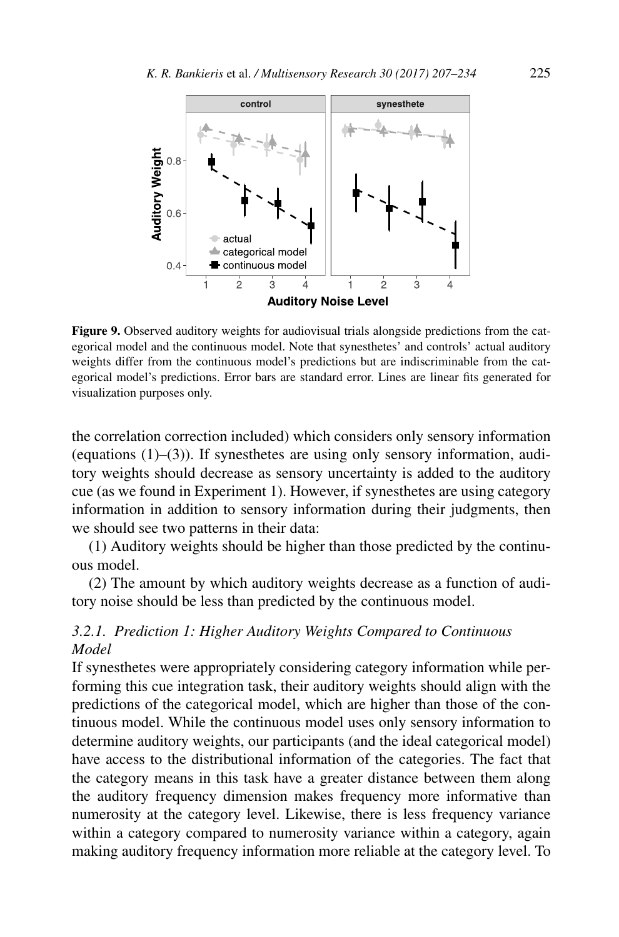

**Figure 9.** Observed auditory weights for audiovisual trials alongside predictions from the categorical model and the continuous model. Note that synesthetes' and controls' actual auditory weights differ from the continuous model's predictions but are indiscriminable from the categorical model's predictions. Error bars are standard error. Lines are linear fits generated for visualization purposes only.

the correlation correction included) which considers only sensory information (equations (1)–(3)). If synesthetes are using only sensory information, auditory weights should decrease as sensory uncertainty is added to the auditory cue (as we found in Experiment 1). However, if synesthetes are using category information in addition to sensory information during their judgments, then we should see two patterns in their data:

(1) Auditory weights should be higher than those predicted by the continuous model.

(2) The amount by which auditory weights decrease as a function of auditory noise should be less than predicted by the continuous model.

# *3.2.1. Prediction 1: Higher Auditory Weights Compared to Continuous Model*

If synesthetes were appropriately considering category information while performing this cue integration task, their auditory weights should align with the predictions of the categorical model, which are higher than those of the continuous model. While the continuous model uses only sensory information to determine auditory weights, our participants (and the ideal categorical model) have access to the distributional information of the categories. The fact that the category means in this task have a greater distance between them along the auditory frequency dimension makes frequency more informative than numerosity at the category level. Likewise, there is less frequency variance within a category compared to numerosity variance within a category, again making auditory frequency information more reliable at the category level. To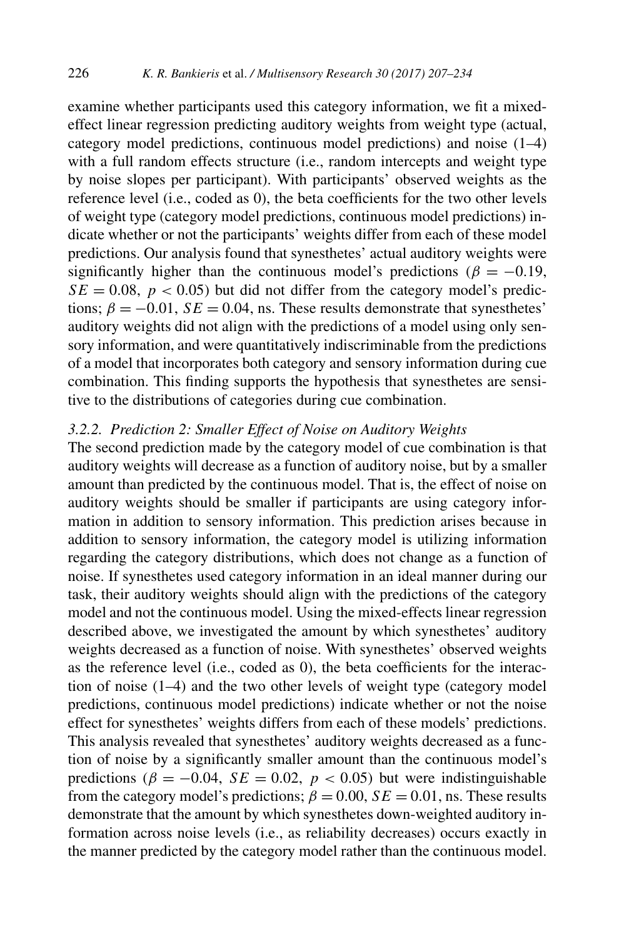examine whether participants used this category information, we fit a mixedeffect linear regression predicting auditory weights from weight type (actual, category model predictions, continuous model predictions) and noise (1–4) with a full random effects structure (i.e., random intercepts and weight type by noise slopes per participant). With participants' observed weights as the reference level (i.e., coded as 0), the beta coefficients for the two other levels of weight type (category model predictions, continuous model predictions) indicate whether or not the participants' weights differ from each of these model predictions. Our analysis found that synesthetes' actual auditory weights were significantly higher than the continuous model's predictions ( $\beta = -0.19$ ,  $SE = 0.08$ ,  $p < 0.05$ ) but did not differ from the category model's predictions;  $\beta = -0.01$ ,  $SE = 0.04$ , ns. These results demonstrate that synesthetes' auditory weights did not align with the predictions of a model using only sensory information, and were quantitatively indiscriminable from the predictions of a model that incorporates both category and sensory information during cue combination. This finding supports the hypothesis that synesthetes are sensitive to the distributions of categories during cue combination.

# *3.2.2. Prediction 2: Smaller Effect of Noise on Auditory Weights*

The second prediction made by the category model of cue combination is that auditory weights will decrease as a function of auditory noise, but by a smaller amount than predicted by the continuous model. That is, the effect of noise on auditory weights should be smaller if participants are using category information in addition to sensory information. This prediction arises because in addition to sensory information, the category model is utilizing information regarding the category distributions, which does not change as a function of noise. If synesthetes used category information in an ideal manner during our task, their auditory weights should align with the predictions of the category model and not the continuous model. Using the mixed-effects linear regression described above, we investigated the amount by which synesthetes' auditory weights decreased as a function of noise. With synesthetes' observed weights as the reference level (i.e., coded as 0), the beta coefficients for the interaction of noise (1–4) and the two other levels of weight type (category model predictions, continuous model predictions) indicate whether or not the noise effect for synesthetes' weights differs from each of these models' predictions. This analysis revealed that synesthetes' auditory weights decreased as a function of noise by a significantly smaller amount than the continuous model's predictions ( $\beta = -0.04$ ,  $SE = 0.02$ ,  $p < 0.05$ ) but were indistinguishable from the category model's predictions;  $\beta = 0.00$ ,  $SE = 0.01$ , ns. These results demonstrate that the amount by which synesthetes down-weighted auditory information across noise levels (i.e., as reliability decreases) occurs exactly in the manner predicted by the category model rather than the continuous model.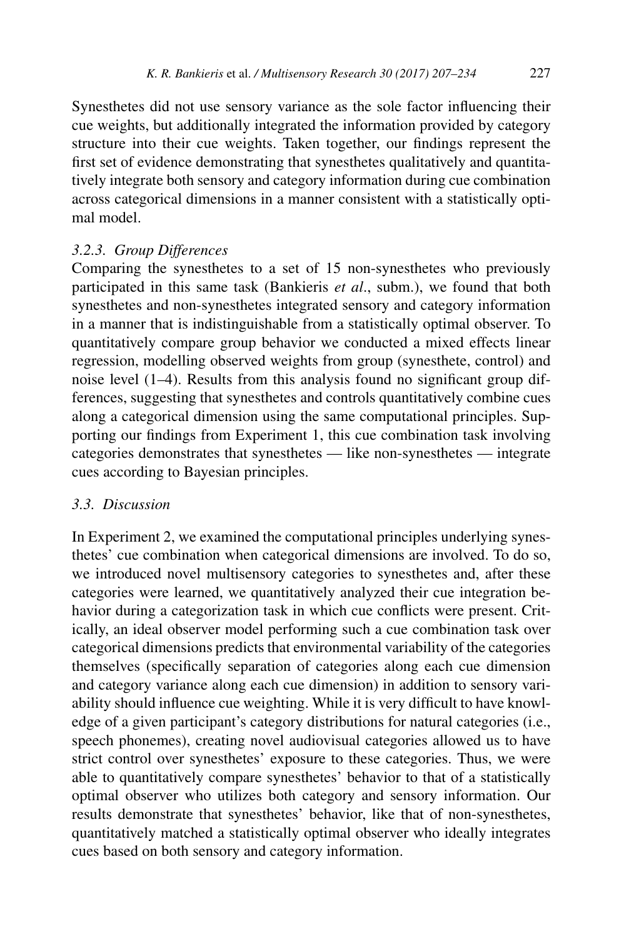Synesthetes did not use sensory variance as the sole factor influencing their cue weights, but additionally integrated the information provided by category structure into their cue weights. Taken together, our findings represent the first set of evidence demonstrating that synesthetes qualitatively and quantitatively integrate both sensory and category information during cue combination across categorical dimensions in a manner consistent with a statistically optimal model.

# *3.2.3. Group Differences*

Comparing the synesthetes to a set of 15 non-synesthetes who previously participated in this same task (Bankieris *et al*., subm.), we found that both synesthetes and non-synesthetes integrated sensory and category information in a manner that is indistinguishable from a statistically optimal observer. To quantitatively compare group behavior we conducted a mixed effects linear regression, modelling observed weights from group (synesthete, control) and noise level (1–4). Results from this analysis found no significant group differences, suggesting that synesthetes and controls quantitatively combine cues along a categorical dimension using the same computational principles. Supporting our findings from Experiment 1, this cue combination task involving categories demonstrates that synesthetes — like non-synesthetes — integrate cues according to Bayesian principles.

# *3.3. Discussion*

In Experiment 2, we examined the computational principles underlying synesthetes' cue combination when categorical dimensions are involved. To do so, we introduced novel multisensory categories to synesthetes and, after these categories were learned, we quantitatively analyzed their cue integration behavior during a categorization task in which cue conflicts were present. Critically, an ideal observer model performing such a cue combination task over categorical dimensions predicts that environmental variability of the categories themselves (specifically separation of categories along each cue dimension and category variance along each cue dimension) in addition to sensory variability should influence cue weighting. While it is very difficult to have knowledge of a given participant's category distributions for natural categories (i.e., speech phonemes), creating novel audiovisual categories allowed us to have strict control over synesthetes' exposure to these categories. Thus, we were able to quantitatively compare synesthetes' behavior to that of a statistically optimal observer who utilizes both category and sensory information. Our results demonstrate that synesthetes' behavior, like that of non-synesthetes, quantitatively matched a statistically optimal observer who ideally integrates cues based on both sensory and category information.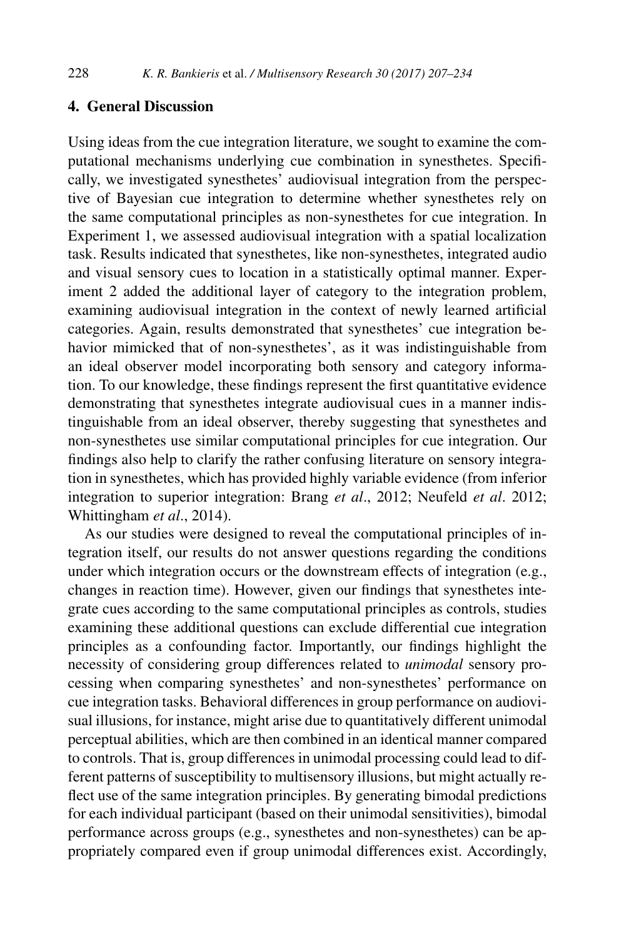#### **4. General Discussion**

Using ideas from the cue integration literature, we sought to examine the computational mechanisms underlying cue combination in synesthetes. Specifically, we investigated synesthetes' audiovisual integration from the perspective of Bayesian cue integration to determine whether synesthetes rely on the same computational principles as non-synesthetes for cue integration. In Experiment 1, we assessed audiovisual integration with a spatial localization task. Results indicated that synesthetes, like non-synesthetes, integrated audio and visual sensory cues to location in a statistically optimal manner. Experiment 2 added the additional layer of category to the integration problem, examining audiovisual integration in the context of newly learned artificial categories. Again, results demonstrated that synesthetes' cue integration behavior mimicked that of non-synesthetes', as it was indistinguishable from an ideal observer model incorporating both sensory and category information. To our knowledge, these findings represent the first quantitative evidence demonstrating that synesthetes integrate audiovisual cues in a manner indistinguishable from an ideal observer, thereby suggesting that synesthetes and non-synesthetes use similar computational principles for cue integration. Our findings also help to clarify the rather confusing literature on sensory integration in synesthetes, which has provided highly variable evidence (from inferior integration to superior integration: Brang *et al*., 2012; Neufeld *et al*. 2012; Whittingham *et al*., 2014).

As our studies were designed to reveal the computational principles of integration itself, our results do not answer questions regarding the conditions under which integration occurs or the downstream effects of integration (e.g., changes in reaction time). However, given our findings that synesthetes integrate cues according to the same computational principles as controls, studies examining these additional questions can exclude differential cue integration principles as a confounding factor. Importantly, our findings highlight the necessity of considering group differences related to *unimodal* sensory processing when comparing synesthetes' and non-synesthetes' performance on cue integration tasks. Behavioral differences in group performance on audiovisual illusions, for instance, might arise due to quantitatively different unimodal perceptual abilities, which are then combined in an identical manner compared to controls. That is, group differences in unimodal processing could lead to different patterns of susceptibility to multisensory illusions, but might actually reflect use of the same integration principles. By generating bimodal predictions for each individual participant (based on their unimodal sensitivities), bimodal performance across groups (e.g., synesthetes and non-synesthetes) can be appropriately compared even if group unimodal differences exist. Accordingly,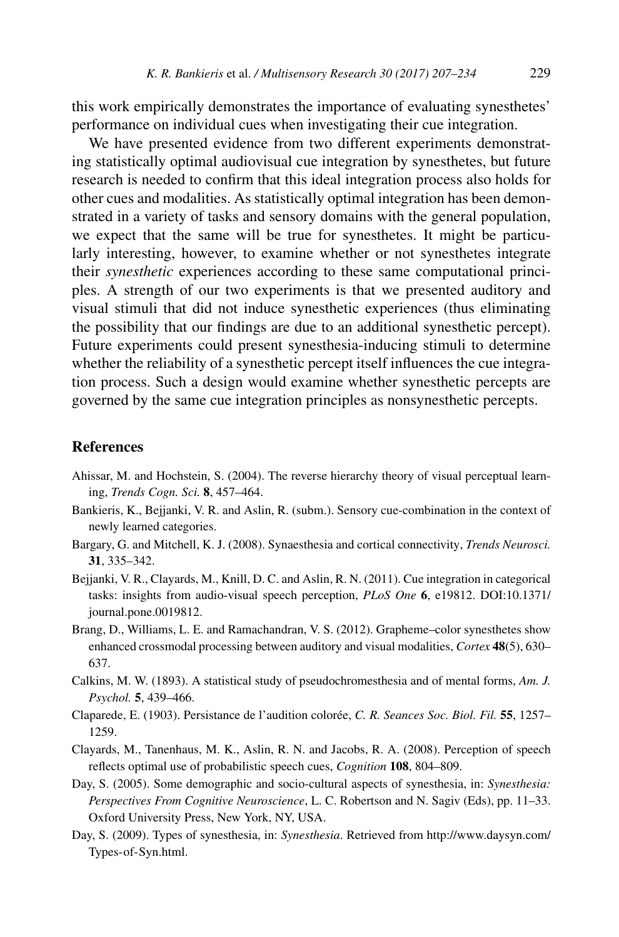this work empirically demonstrates the importance of evaluating synesthetes' performance on individual cues when investigating their cue integration.

We have presented evidence from two different experiments demonstrating statistically optimal audiovisual cue integration by synesthetes, but future research is needed to confirm that this ideal integration process also holds for other cues and modalities. As statistically optimal integration has been demonstrated in a variety of tasks and sensory domains with the general population, we expect that the same will be true for synesthetes. It might be particularly interesting, however, to examine whether or not synesthetes integrate their *synesthetic* experiences according to these same computational principles. A strength of our two experiments is that we presented auditory and visual stimuli that did not induce synesthetic experiences (thus eliminating the possibility that our findings are due to an additional synesthetic percept). Future experiments could present synesthesia-inducing stimuli to determine whether the reliability of a synesthetic percept itself influences the cue integration process. Such a design would examine whether synesthetic percepts are governed by the same cue integration principles as nonsynesthetic percepts.

#### **References**

- Ahissar, M. and Hochstein, S. (2004). The reverse hierarchy theory of visual perceptual learning, *Trends Cogn. Sci.* **8**, 457–464.
- Bankieris, K., Bejjanki, V. R. and Aslin, R. (subm.). Sensory cue-combination in the context of newly learned categories.
- Bargary, G. and Mitchell, K. J. (2008). Synaesthesia and cortical connectivity, *Trends Neurosci.* **31**, 335–342.
- Bejjanki, V. R., Clayards, M., Knill, D. C. and Aslin, R. N. (2011). Cue integration in categorical tasks: insights from audio-visual speech perception, *PLoS One* **6**, e19812. DOI[:10.1371/](http://dx.doi.org/10.1371/journal.pone.0019812) [journal.pone.0019812.](http://dx.doi.org/10.1371/journal.pone.0019812)
- Brang, D., Williams, L. E. and Ramachandran, V. S. (2012). Grapheme–color synesthetes show enhanced crossmodal processing between auditory and visual modalities, *Cortex* **48**(5), 630– 637.
- Calkins, M. W. (1893). A statistical study of pseudochromesthesia and of mental forms, *Am. J. Psychol.* **5**, 439–466.
- Claparede, E. (1903). Persistance de l'audition colorée, *C. R. Seances Soc. Biol. Fil.* **55**, 1257– 1259.
- Clayards, M., Tanenhaus, M. K., Aslin, R. N. and Jacobs, R. A. (2008). Perception of speech reflects optimal use of probabilistic speech cues, *Cognition* **108**, 804–809.
- Day, S. (2005). Some demographic and socio-cultural aspects of synesthesia, in: *Synesthesia: Perspectives From Cognitive Neuroscience*, L. C. Robertson and N. Sagiv (Eds), pp. 11–33. Oxford University Press, New York, NY, USA.
- Day, S. (2009). Types of synesthesia, in: *Synesthesia*. Retrieved from [http://www.daysyn.com/](http://www.daysyn.com/Types-of-Syn.html) [Types-of-Syn.html.](http://www.daysyn.com/Types-of-Syn.html)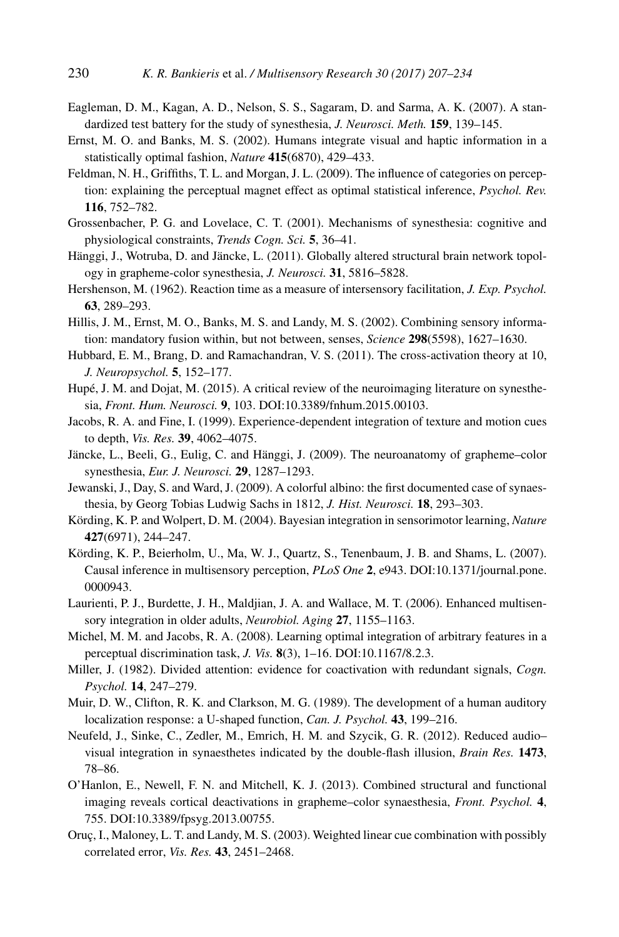- Eagleman, D. M., Kagan, A. D., Nelson, S. S., Sagaram, D. and Sarma, A. K. (2007). A standardized test battery for the study of synesthesia, *J. Neurosci. Meth.* **159**, 139–145.
- Ernst, M. O. and Banks, M. S. (2002). Humans integrate visual and haptic information in a statistically optimal fashion, *Nature* **415**(6870), 429–433.
- Feldman, N. H., Griffiths, T. L. and Morgan, J. L. (2009). The influence of categories on perception: explaining the perceptual magnet effect as optimal statistical inference, *Psychol. Rev.* **116**, 752–782.
- Grossenbacher, P. G. and Lovelace, C. T. (2001). Mechanisms of synesthesia: cognitive and physiological constraints, *Trends Cogn. Sci.* **5**, 36–41.
- Hänggi, J., Wotruba, D. and Jäncke, L. (2011). Globally altered structural brain network topology in grapheme-color synesthesia, *J. Neurosci.* **31**, 5816–5828.
- Hershenson, M. (1962). Reaction time as a measure of intersensory facilitation, *J. Exp. Psychol.* **63**, 289–293.
- Hillis, J. M., Ernst, M. O., Banks, M. S. and Landy, M. S. (2002). Combining sensory information: mandatory fusion within, but not between, senses, *Science* **298**(5598), 1627–1630.
- Hubbard, E. M., Brang, D. and Ramachandran, V. S. (2011). The cross-activation theory at 10, *J. Neuropsychol.* **5**, 152–177.
- Hupé, J. M. and Dojat, M. (2015). A critical review of the neuroimaging literature on synesthesia, *Front. Hum. Neurosci.* **9**, 103. DOI[:10.3389/fnhum.2015.00103.](http://dx.doi.org/10.3389/fnhum.2015.00103)
- Jacobs, R. A. and Fine, I. (1999). Experience-dependent integration of texture and motion cues to depth, *Vis. Res.* **39**, 4062–4075.
- Jäncke, L., Beeli, G., Eulig, C. and Hänggi, J. (2009). The neuroanatomy of grapheme–color synesthesia, *Eur. J. Neurosci.* **29**, 1287–1293.
- Jewanski, J., Day, S. and Ward, J. (2009). A colorful albino: the first documented case of synaesthesia, by Georg Tobias Ludwig Sachs in 1812, *J. Hist. Neurosci.* **18**, 293–303.
- Körding, K. P. and Wolpert, D. M. (2004). Bayesian integration in sensorimotor learning, *Nature* **427**(6971), 244–247.
- Körding, K. P., Beierholm, U., Ma, W. J., Quartz, S., Tenenbaum, J. B. and Shams, L. (2007). Causal inference in multisensory perception, *PLoS One* **2**, e943. DOI[:10.1371/journal.pone.](http://dx.doi.org/10.1371/journal.pone.0000943) [0000943.](http://dx.doi.org/10.1371/journal.pone.0000943)
- Laurienti, P. J., Burdette, J. H., Maldjian, J. A. and Wallace, M. T. (2006). Enhanced multisensory integration in older adults, *Neurobiol. Aging* **27**, 1155–1163.
- Michel, M. M. and Jacobs, R. A. (2008). Learning optimal integration of arbitrary features in a perceptual discrimination task, *J. Vis.* **8**(3), 1–16. DOI[:10.1167/8.2.3.](http://dx.doi.org/10.1167/8.2.3)
- Miller, J. (1982). Divided attention: evidence for coactivation with redundant signals, *Cogn. Psychol.* **14**, 247–279.
- Muir, D. W., Clifton, R. K. and Clarkson, M. G. (1989). The development of a human auditory localization response: a U-shaped function, *Can. J. Psychol.* **43**, 199–216.
- Neufeld, J., Sinke, C., Zedler, M., Emrich, H. M. and Szycik, G. R. (2012). Reduced audio– visual integration in synaesthetes indicated by the double-flash illusion, *Brain Res.* **1473**, 78–86.
- O'Hanlon, E., Newell, F. N. and Mitchell, K. J. (2013). Combined structural and functional imaging reveals cortical deactivations in grapheme–color synaesthesia, *Front. Psychol.* **4**, 755. DOI[:10.3389/fpsyg.2013.00755.](http://dx.doi.org/10.3389/fpsyg.2013.00755)
- Oruç, I., Maloney, L. T. and Landy, M. S. (2003). Weighted linear cue combination with possibly correlated error, *Vis. Res.* **43**, 2451–2468.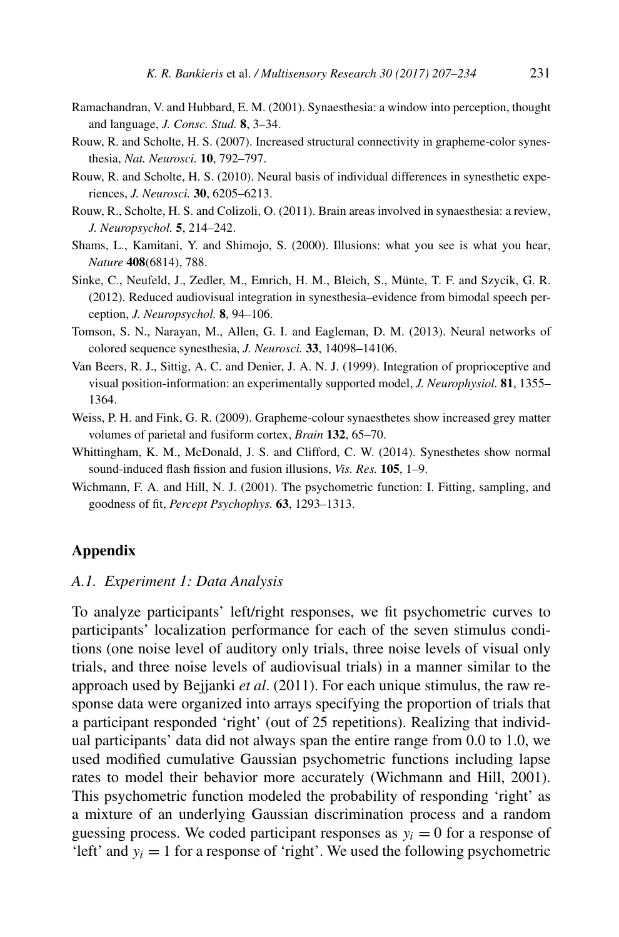- Ramachandran, V. and Hubbard, E. M. (2001). Synaesthesia: a window into perception, thought and language, *J. Consc. Stud.* **8**, 3–34.
- Rouw, R. and Scholte, H. S. (2007). Increased structural connectivity in grapheme-color synesthesia, *Nat. Neurosci.* **10**, 792–797.
- Rouw, R. and Scholte, H. S. (2010). Neural basis of individual differences in synesthetic experiences, *J. Neurosci.* **30**, 6205–6213.
- Rouw, R., Scholte, H. S. and Colizoli, O. (2011). Brain areas involved in synaesthesia: a review, *J. Neuropsychol.* **5**, 214–242.
- Shams, L., Kamitani, Y. and Shimojo, S. (2000). Illusions: what you see is what you hear, *Nature* **408**(6814), 788.
- Sinke, C., Neufeld, J., Zedler, M., Emrich, H. M., Bleich, S., Münte, T. F. and Szycik, G. R. (2012). Reduced audiovisual integration in synesthesia–evidence from bimodal speech perception, *J. Neuropsychol.* **8**, 94–106.
- Tomson, S. N., Narayan, M., Allen, G. I. and Eagleman, D. M. (2013). Neural networks of colored sequence synesthesia, *J. Neurosci.* **33**, 14098–14106.
- Van Beers, R. J., Sittig, A. C. and Denier, J. A. N. J. (1999). Integration of proprioceptive and visual position-information: an experimentally supported model, *J. Neurophysiol.* **81**, 1355– 1364.
- Weiss, P. H. and Fink, G. R. (2009). Grapheme-colour synaesthetes show increased grey matter volumes of parietal and fusiform cortex, *Brain* **132**, 65–70.
- Whittingham, K. M., McDonald, J. S. and Clifford, C. W. (2014). Synesthetes show normal sound-induced flash fission and fusion illusions, *Vis. Res.* **105**, 1–9.
- Wichmann, F. A. and Hill, N. J. (2001). The psychometric function: I. Fitting, sampling, and goodness of fit, *Percept Psychophys.* **63**, 1293–1313.

#### **Appendix**

#### *A.1. Experiment 1: Data Analysis*

To analyze participants' left/right responses, we fit psychometric curves to participants' localization performance for each of the seven stimulus conditions (one noise level of auditory only trials, three noise levels of visual only trials, and three noise levels of audiovisual trials) in a manner similar to the approach used by Bejjanki *et al*. (2011). For each unique stimulus, the raw response data were organized into arrays specifying the proportion of trials that a participant responded 'right' (out of 25 repetitions). Realizing that individual participants' data did not always span the entire range from 0.0 to 1.0, we used modified cumulative Gaussian psychometric functions including lapse rates to model their behavior more accurately (Wichmann and Hill, 2001). This psychometric function modeled the probability of responding 'right' as a mixture of an underlying Gaussian discrimination process and a random guessing process. We coded participant responses as  $y_i = 0$  for a response of 'left' and  $y_i = 1$  for a response of 'right'. We used the following psychometric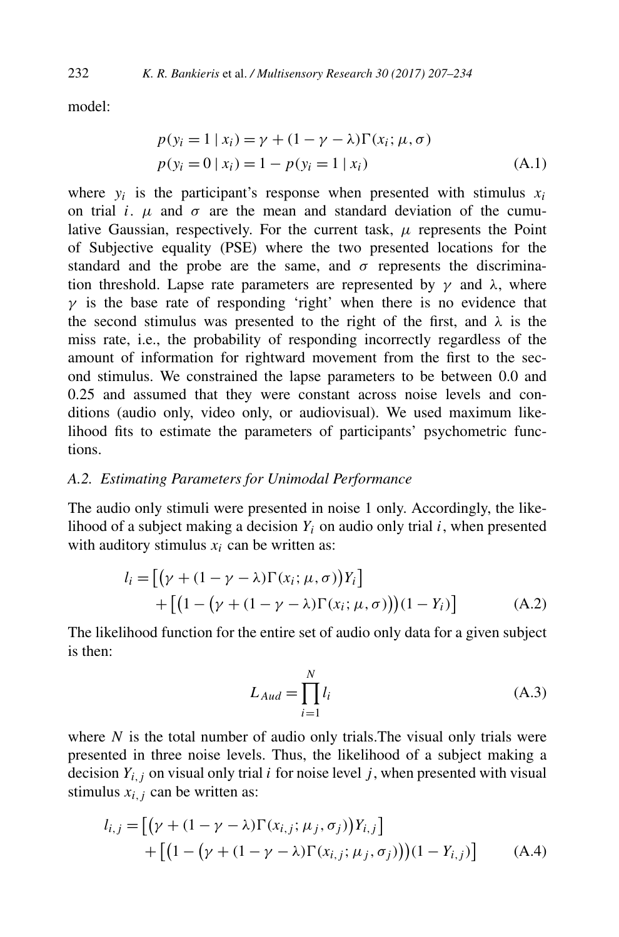model:

$$
p(y_i = 1 | x_i) = \gamma + (1 - \gamma - \lambda) \Gamma(x_i; \mu, \sigma)
$$
  
\n
$$
p(y_i = 0 | x_i) = 1 - p(y_i = 1 | x_i)
$$
\n(A.1)

where  $y_i$  is the participant's response when presented with stimulus  $x_i$ on trial *i*. *μ* and  $\sigma$  are the mean and standard deviation of the cumulative Gaussian, respectively. For the current task,  $\mu$  represents the Point of Subjective equality (PSE) where the two presented locations for the standard and the probe are the same, and  $\sigma$  represents the discrimination threshold. Lapse rate parameters are represented by  $\gamma$  and  $\lambda$ , where  $\gamma$  is the base rate of responding 'right' when there is no evidence that the second stimulus was presented to the right of the first, and  $\lambda$  is the miss rate, i.e., the probability of responding incorrectly regardless of the amount of information for rightward movement from the first to the second stimulus. We constrained the lapse parameters to be between 0.0 and 0.25 and assumed that they were constant across noise levels and conditions (audio only, video only, or audiovisual). We used maximum likelihood fits to estimate the parameters of participants' psychometric functions.

## *A.2. Estimating Parameters for Unimodal Performance*

The audio only stimuli were presented in noise 1 only. Accordingly, the likelihood of a subject making a decision  $Y_i$  on audio only trial  $i$ , when presented with auditory stimulus  $x_i$  can be written as:

$$
l_i = \left[ \left( \gamma + (1 - \gamma - \lambda) \Gamma(x_i; \mu, \sigma) \right) Y_i \right] + \left[ \left( 1 - \left( \gamma + (1 - \gamma - \lambda) \Gamma(x_i; \mu, \sigma) \right) \right) (1 - Y_i) \right]
$$
 (A.2)

The likelihood function for the entire set of audio only data for a given subject is then:

$$
L_{\text{Aud}} = \prod_{i=1}^{N} l_i
$$
\n(A.3)

where *N* is the total number of audio only trials. The visual only trials were presented in three noise levels. Thus, the likelihood of a subject making a decision  $Y_{i,j}$  on visual only trial *i* for noise level *j*, when presented with visual stimulus  $x_{i,j}$  can be written as:

$$
l_{i,j} = \left[ \left( \gamma + (1 - \gamma - \lambda) \Gamma(x_{i,j}; \mu_j, \sigma_j) \right) Y_{i,j} \right] + \left[ \left( 1 - \left( \gamma + (1 - \gamma - \lambda) \Gamma(x_{i,j}; \mu_j, \sigma_j) \right) \right) (1 - Y_{i,j}) \right] \tag{A.4}
$$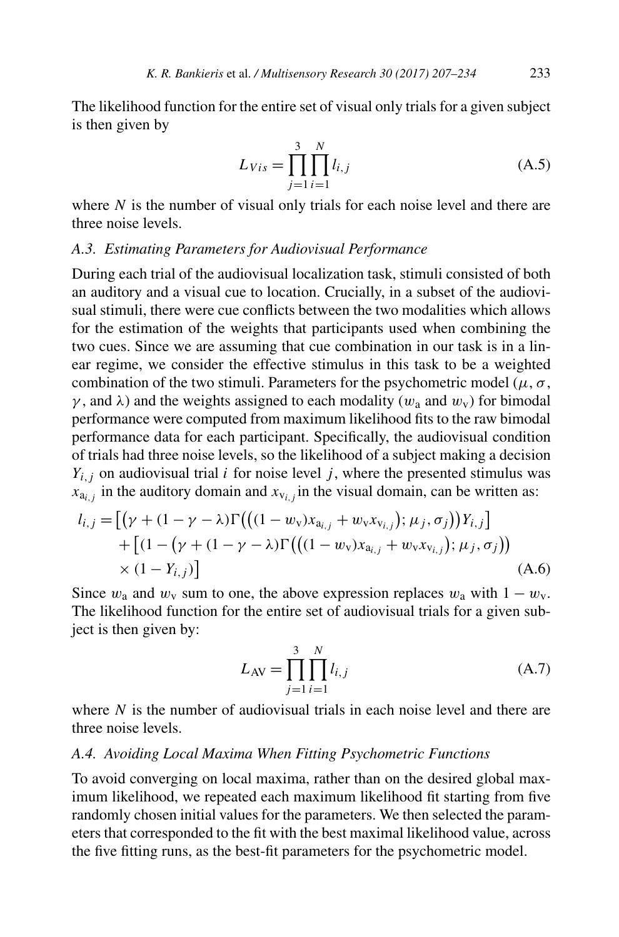The likelihood function for the entire set of visual only trials for a given subject is then given by

$$
L_{Vis} = \prod_{j=1}^{3} \prod_{i=1}^{N} l_{i,j}
$$
 (A.5)

where *N* is the number of visual only trials for each noise level and there are three noise levels.

#### *A.3. Estimating Parameters for Audiovisual Performance*

During each trial of the audiovisual localization task, stimuli consisted of both an auditory and a visual cue to location. Crucially, in a subset of the audiovisual stimuli, there were cue conflicts between the two modalities which allows for the estimation of the weights that participants used when combining the two cues. Since we are assuming that cue combination in our task is in a linear regime, we consider the effective stimulus in this task to be a weighted combination of the two stimuli. Parameters for the psychometric model ( $\mu$ ,  $\sigma$ , *γ*, and *λ*) and the weights assigned to each modality ( $w_a$  and  $w_y$ ) for bimodal performance were computed from maximum likelihood fits to the raw bimodal performance data for each participant. Specifically, the audiovisual condition of trials had three noise levels, so the likelihood of a subject making a decision  $Y_{i,j}$  on audiovisual trial *i* for noise level *j*, where the presented stimulus was  $x_{a_{i}}$  in the auditory domain and  $x_{v_i}$  in the visual domain, can be written as:

$$
l_{i,j} = \left[ (\gamma + (1 - \gamma - \lambda) \Gamma \left( ((1 - w_{v}) x_{a_{i,j}} + w_{v} x_{v_{i,j}}); \mu_{j}, \sigma_{j}) \right) Y_{i,j} \right] + \left[ (1 - (\gamma + (1 - \gamma - \lambda) \Gamma \left( ((1 - w_{v}) x_{a_{i,j}} + w_{v} x_{v_{i,j}}); \mu_{j}, \sigma_{j}) \right) \times (1 - Y_{i,j}) \right]
$$
(A.6)

Since  $w_a$  and  $w_v$  sum to one, the above expression replaces  $w_a$  with  $1 - w_v$ . The likelihood function for the entire set of audiovisual trials for a given subject is then given by:

$$
L_{\rm AV} = \prod_{j=1}^{3} \prod_{i=1}^{N} l_{i,j}
$$
 (A.7)

where *N* is the number of audiovisual trials in each noise level and there are three noise levels.

#### *A.4. Avoiding Local Maxima When Fitting Psychometric Functions*

To avoid converging on local maxima, rather than on the desired global maximum likelihood, we repeated each maximum likelihood fit starting from five randomly chosen initial values for the parameters. We then selected the parameters that corresponded to the fit with the best maximal likelihood value, across the five fitting runs, as the best-fit parameters for the psychometric model.